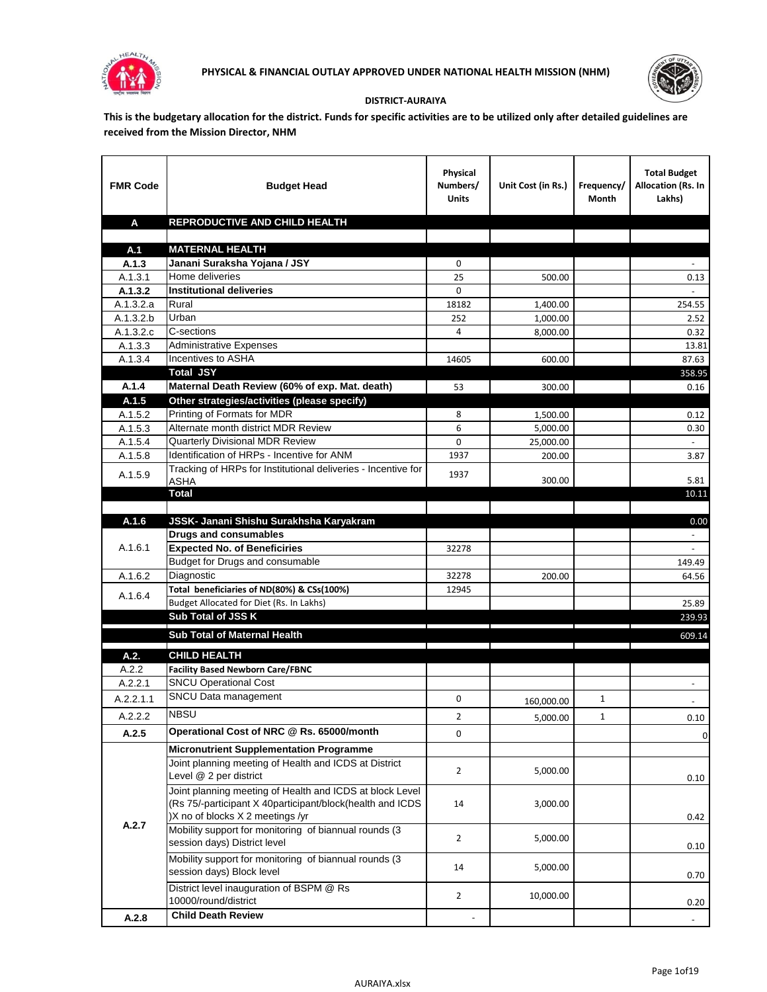



## **DISTRICT-AURAIYA**

**This is the budgetary allocation for the district. Funds for specific activities are to be utilized only after detailed guidelines are received from the Mission Director, NHM**

| <b>FMR Code</b>      | <b>Budget Head</b>                                                                                                                                        | Physical<br>Numbers/<br><b>Units</b> | Unit Cost (in Rs.)   | Frequency/<br>Month | <b>Total Budget</b><br>Allocation (Rs. In<br>Lakhs) |
|----------------------|-----------------------------------------------------------------------------------------------------------------------------------------------------------|--------------------------------------|----------------------|---------------------|-----------------------------------------------------|
| A                    | REPRODUCTIVE AND CHILD HEALTH                                                                                                                             |                                      |                      |                     |                                                     |
|                      |                                                                                                                                                           |                                      |                      |                     |                                                     |
| A.1                  | <b>MATERNAL HEALTH</b>                                                                                                                                    |                                      |                      |                     |                                                     |
| A.1.3                | Janani Suraksha Yojana / JSY                                                                                                                              | 0                                    |                      |                     |                                                     |
| A.1.3.1              | Home deliveries                                                                                                                                           | 25<br>0                              | 500.00               |                     | 0.13                                                |
| A.1.3.2<br>A.1.3.2.a | <b>Institutional deliveries</b><br>Rural                                                                                                                  | 18182                                |                      |                     |                                                     |
| A.1.3.2.b            | Urban                                                                                                                                                     | 252                                  | 1,400.00<br>1,000.00 |                     | 254.55<br>2.52                                      |
| A.1.3.2.c            | C-sections                                                                                                                                                | 4                                    | 8,000.00             |                     | 0.32                                                |
| A.1.3.3              | <b>Administrative Expenses</b>                                                                                                                            |                                      |                      |                     | 13.81                                               |
| A.1.3.4              | Incentives to ASHA                                                                                                                                        | 14605                                | 600.00               |                     | 87.63                                               |
|                      | <b>Total JSY</b>                                                                                                                                          |                                      |                      |                     | 358.95                                              |
| A.1.4                | Maternal Death Review (60% of exp. Mat. death)                                                                                                            | 53                                   | 300.00               |                     | 0.16                                                |
| A.1.5                | Other strategies/activities (please specify)                                                                                                              |                                      |                      |                     |                                                     |
| A.1.5.2              | Printing of Formats for MDR                                                                                                                               | 8                                    | 1.500.00             |                     | 0.12                                                |
| A.1.5.3              | Alternate month district MDR Review                                                                                                                       | 6                                    | 5,000.00             |                     | 0.30                                                |
| A.1.5.4              | <b>Quarterly Divisional MDR Review</b>                                                                                                                    | 0                                    | 25,000.00            |                     |                                                     |
| A.1.5.8              | Identification of HRPs - Incentive for ANM                                                                                                                | 1937                                 | 200.00               |                     | 3.87                                                |
| A.1.5.9              | Tracking of HRPs for Institutional deliveries - Incentive for                                                                                             | 1937                                 |                      |                     |                                                     |
|                      | <b>ASHA</b>                                                                                                                                               |                                      | 300.00               |                     | 5.81                                                |
|                      | <b>Total</b>                                                                                                                                              |                                      |                      |                     | 10.11                                               |
| A.1.6                |                                                                                                                                                           |                                      |                      |                     | 0.00                                                |
|                      | JSSK- Janani Shishu Surakhsha Karyakram<br><b>Drugs and consumables</b>                                                                                   |                                      |                      |                     |                                                     |
| A.1.6.1              | <b>Expected No. of Beneficiries</b>                                                                                                                       | 32278                                |                      |                     |                                                     |
|                      | Budget for Drugs and consumable                                                                                                                           |                                      |                      |                     | 149.49                                              |
| A.1.6.2              | Diagnostic                                                                                                                                                | 32278                                | 200.00               |                     | 64.56                                               |
|                      | Total beneficiaries of ND(80%) & CSs(100%)                                                                                                                | 12945                                |                      |                     |                                                     |
| A.1.6.4              | Budget Allocated for Diet (Rs. In Lakhs)                                                                                                                  |                                      |                      |                     | 25.89                                               |
|                      | Sub Total of JSS K                                                                                                                                        |                                      |                      |                     | 239.93                                              |
|                      | Sub Total of Maternal Health                                                                                                                              |                                      |                      |                     | 609.14                                              |
|                      |                                                                                                                                                           |                                      |                      |                     |                                                     |
| A.2.                 | <b>CHILD HEALTH</b>                                                                                                                                       |                                      |                      |                     |                                                     |
| A.2.2                | <b>Facility Based Newborn Care/FBNC</b>                                                                                                                   |                                      |                      |                     |                                                     |
| A.2.2.1              | <b>SNCU Operational Cost</b>                                                                                                                              |                                      |                      |                     | $\blacksquare$                                      |
| A.2.2.1.1            | SNCU Data management                                                                                                                                      | 0                                    | 160,000.00           | 1                   |                                                     |
| A.2.2.2              | <b>NBSU</b>                                                                                                                                               | $\overline{\mathbf{c}}$              | 5,000.00             | 1                   | 0.10                                                |
| A.2.5                | Operational Cost of NRC @ Rs. 65000/month                                                                                                                 | 0                                    |                      |                     | $\pmb{0}$                                           |
|                      | <b>Micronutrient Supplementation Programme</b>                                                                                                            |                                      |                      |                     |                                                     |
|                      | Joint planning meeting of Health and ICDS at District                                                                                                     |                                      |                      |                     |                                                     |
|                      | Level @ 2 per district                                                                                                                                    | $\overline{2}$                       | 5,000.00             |                     | 0.10                                                |
|                      | Joint planning meeting of Health and ICDS at block Level<br>(Rs 75/-participant X 40participant/block(health and ICDS<br>)X no of blocks X 2 meetings /yr | 14                                   | 3,000.00             |                     | 0.42                                                |
| A.2.7                | Mobility support for monitoring of biannual rounds (3<br>session days) District level                                                                     | $\overline{2}$                       | 5,000.00             |                     | 0.10                                                |
|                      | Mobility support for monitoring of biannual rounds (3<br>session days) Block level                                                                        | 14                                   | 5,000.00             |                     | 0.70                                                |
|                      | District level inauguration of BSPM @ Rs<br>10000/round/district                                                                                          | $\overline{2}$                       | 10,000.00            |                     | 0.20                                                |
| A.2.8                | <b>Child Death Review</b>                                                                                                                                 |                                      |                      |                     | $\overline{\phantom{a}}$                            |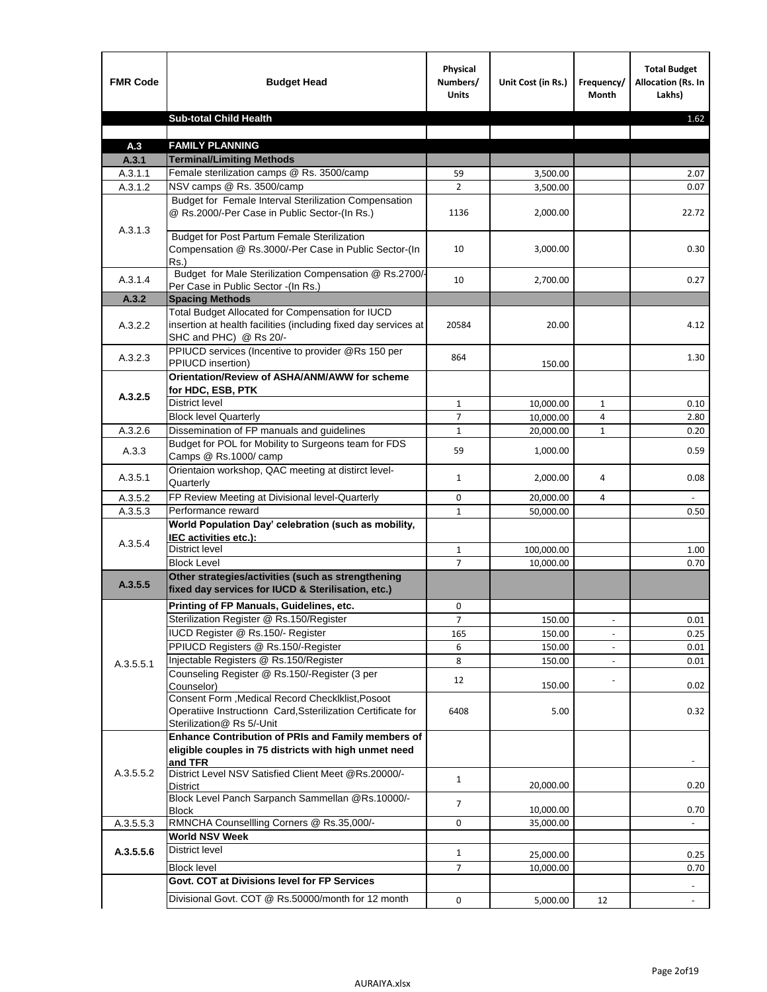| <b>FMR Code</b>    | <b>Budget Head</b>                                                                                                                             | Physical<br>Numbers/<br><b>Units</b> | Unit Cost (in Rs.) | Frequency/<br>Month      | <b>Total Budget</b><br><b>Allocation (Rs. In</b><br>Lakhs) |
|--------------------|------------------------------------------------------------------------------------------------------------------------------------------------|--------------------------------------|--------------------|--------------------------|------------------------------------------------------------|
|                    | <b>Sub-total Child Health</b>                                                                                                                  |                                      |                    |                          | 1.62                                                       |
|                    |                                                                                                                                                |                                      |                    |                          |                                                            |
| A.3                | <b>FAMILY PLANNING</b>                                                                                                                         |                                      |                    |                          |                                                            |
| A.3.1              | <b>Terminal/Limiting Methods</b>                                                                                                               |                                      |                    |                          |                                                            |
| A.3.1.1<br>A.3.1.2 | Female sterilization camps @ Rs. 3500/camp<br>NSV camps @ Rs. 3500/camp                                                                        | 59<br>$\overline{2}$                 | 3,500.00           |                          | 2.07<br>0.07                                               |
|                    | Budget for Female Interval Sterilization Compensation                                                                                          |                                      | 3,500.00           |                          |                                                            |
| A.3.1.3            | @ Rs.2000/-Per Case in Public Sector-(In Rs.)                                                                                                  | 1136                                 | 2,000.00           |                          | 22.72                                                      |
|                    | <b>Budget for Post Partum Female Sterilization</b><br>Compensation @ Rs.3000/-Per Case in Public Sector-(In<br>$Rs.$ )                         | 10                                   | 3,000.00           |                          | 0.30                                                       |
| A.3.1.4            | Budget for Male Sterilization Compensation @ Rs.2700/-<br>Per Case in Public Sector -(In Rs.)                                                  | 10                                   | 2,700.00           |                          | 0.27                                                       |
| A.3.2              | <b>Spacing Methods</b>                                                                                                                         |                                      |                    |                          |                                                            |
| A.3.2.2            | Total Budget Allocated for Compensation for IUCD<br>insertion at health facilities (including fixed day services at<br>SHC and PHC) @ Rs 20/-  | 20584                                | 20.00              |                          | 4.12                                                       |
| A.3.2.3            | PPIUCD services (Incentive to provider @Rs 150 per<br>PPIUCD insertion)                                                                        | 864                                  | 150.00             |                          | 1.30                                                       |
|                    | Orientation/Review of ASHA/ANM/AWW for scheme<br>for HDC, ESB, PTK                                                                             |                                      |                    |                          |                                                            |
| A.3.2.5            | <b>District level</b>                                                                                                                          | $\mathbf{1}$                         | 10,000.00          | $\mathbf{1}$             | 0.10                                                       |
|                    | <b>Block level Quarterly</b>                                                                                                                   | 7                                    | 10,000.00          | 4                        | 2.80                                                       |
| A.3.2.6            | Dissemination of FP manuals and guidelines                                                                                                     | $\mathbf{1}$                         | 20,000.00          | $\mathbf{1}$             | 0.20                                                       |
| A.3.3              | Budget for POL for Mobility to Surgeons team for FDS<br>Camps @ Rs.1000/camp                                                                   | 59                                   | 1,000.00           |                          | 0.59                                                       |
| A.3.5.1            | Orientaion workshop, QAC meeting at distirct level-<br>Quarterly                                                                               | $\mathbf{1}$                         | 2,000.00           | 4                        | 0.08                                                       |
| A.3.5.2            | FP Review Meeting at Divisional level-Quarterly                                                                                                | 0                                    | 20,000.00          | 4                        |                                                            |
| A.3.5.3            | Performance reward                                                                                                                             | $\mathbf{1}$                         | 50,000.00          |                          | 0.50                                                       |
| A.3.5.4            | World Population Day' celebration (such as mobility,<br>IEC activities etc.):                                                                  |                                      |                    |                          |                                                            |
|                    | District level                                                                                                                                 | $\mathbf{1}$                         | 100,000.00         |                          | 1.00                                                       |
|                    | <b>Block Level</b>                                                                                                                             | $\overline{7}$                       | 10.000.00          |                          | 0.70                                                       |
| A.3.5.5            | Other strategies/activities (such as strengthening<br>fixed day services for IUCD & Sterilisation, etc.)                                       |                                      |                    |                          |                                                            |
|                    | Printing of FP Manuals, Guidelines, etc.                                                                                                       | 0                                    |                    |                          |                                                            |
|                    | Sterilization Register @ Rs.150/Register                                                                                                       | 7                                    | 150.00             | $\overline{\phantom{a}}$ | 0.01                                                       |
|                    | IUCD Register @ Rs.150/- Register                                                                                                              | 165                                  | 150.00             |                          | 0.25                                                       |
|                    | PPIUCD Registers @ Rs.150/-Register                                                                                                            | 6                                    | 150.00             |                          | 0.01                                                       |
| A.3.5.5.1          | Injectable Registers @ Rs.150/Register                                                                                                         | 8                                    | 150.00             |                          | 0.01                                                       |
|                    | Counseling Register @ Rs.150/-Register (3 per<br>Counselor)                                                                                    | 12                                   | 150.00             |                          | 0.02                                                       |
|                    | Consent Form , Medical Record CheckIklist, Posoot<br>Operatiive Instructionn Card, Ssterilization Certificate for<br>Sterilization@ Rs 5/-Unit | 6408                                 | 5.00               |                          | 0.32                                                       |
|                    | Enhance Contribution of PRIs and Family members of<br>eligible couples in 75 districts with high unmet need<br>and TFR                         |                                      |                    |                          |                                                            |
| A.3.5.5.2          | District Level NSV Satisfied Client Meet @Rs.20000/-<br>District                                                                               | $\mathbf{1}$                         | 20,000.00          |                          | 0.20                                                       |
|                    | Block Level Panch Sarpanch Sammellan @Rs.10000/-<br>Block                                                                                      | $\overline{7}$                       | 10,000.00          |                          | 0.70                                                       |
| A.3.5.5.3          | RMNCHA Counsellling Corners @ Rs.35,000/-                                                                                                      | 0                                    | 35,000.00          |                          |                                                            |
|                    | <b>World NSV Week</b>                                                                                                                          |                                      |                    |                          |                                                            |
| A.3.5.5.6          | District level                                                                                                                                 | $\mathbf{1}$                         | 25,000.00          |                          | 0.25                                                       |
|                    | <b>Block level</b>                                                                                                                             | 7                                    | 10,000.00          |                          | 0.70                                                       |
|                    | Govt. COT at Divisions level for FP Services                                                                                                   |                                      |                    |                          |                                                            |
|                    | Divisional Govt. COT @ Rs.50000/month for 12 month                                                                                             | 0                                    | 5,000.00           | 12                       | $\blacksquare$                                             |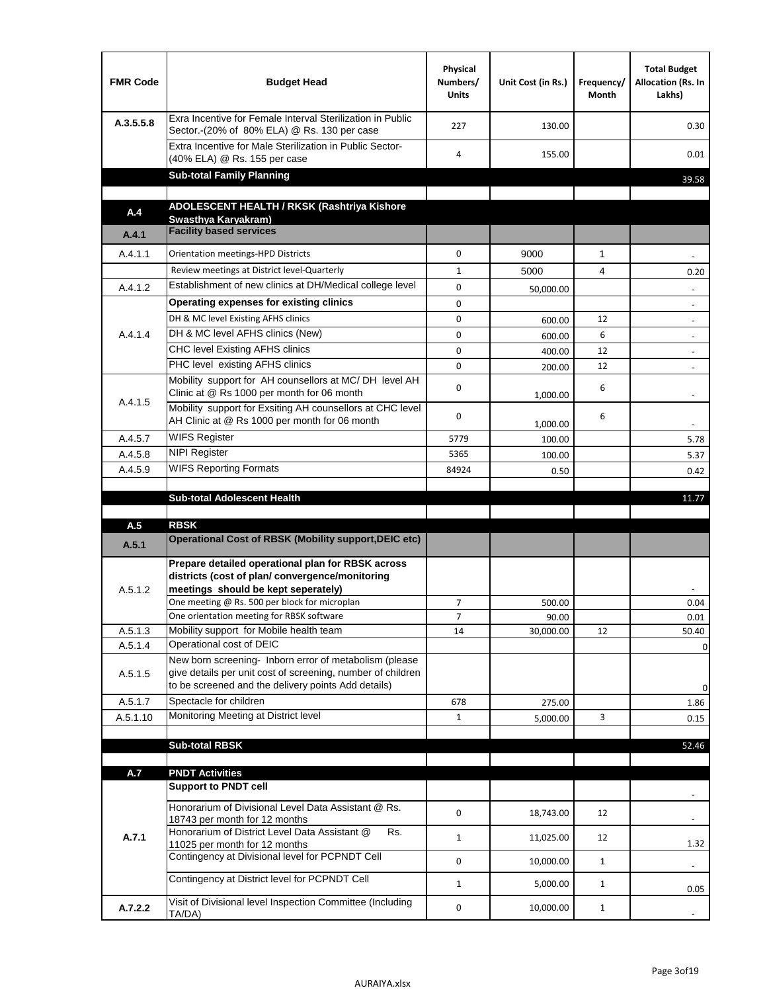| <b>FMR Code</b>    | <b>Budget Head</b>                                                                                                                                                                          | Physical<br>Numbers/<br><b>Units</b> | Unit Cost (in Rs.) | Frequency/<br>Month | <b>Total Budget</b><br>Allocation (Rs. In<br>Lakhs) |
|--------------------|---------------------------------------------------------------------------------------------------------------------------------------------------------------------------------------------|--------------------------------------|--------------------|---------------------|-----------------------------------------------------|
| A.3.5.5.8          | Exra Incentive for Female Interval Sterilization in Public<br>Sector.-(20% of 80% ELA) @ Rs. 130 per case                                                                                   | 227                                  | 130.00             |                     | 0.30                                                |
|                    | Extra Incentive for Male Sterilization in Public Sector-<br>(40% ELA) @ Rs. 155 per case                                                                                                    | 4                                    | 155.00             |                     | 0.01                                                |
|                    | <b>Sub-total Family Planning</b>                                                                                                                                                            |                                      |                    |                     | 39.58                                               |
|                    | ADOLESCENT HEALTH / RKSK (Rashtriya Kishore                                                                                                                                                 |                                      |                    |                     |                                                     |
| A.4                | Swasthya Karyakram)<br><b>Facility based services</b>                                                                                                                                       |                                      |                    |                     |                                                     |
| A.4.1              |                                                                                                                                                                                             |                                      |                    |                     |                                                     |
| A.4.1.1            | Orientation meetings-HPD Districts                                                                                                                                                          | $\Omega$                             | 9000               | $\mathbf{1}$        |                                                     |
|                    | Review meetings at District level-Quarterly                                                                                                                                                 | $\mathbf{1}$                         | 5000               | 4                   | 0.20                                                |
| A.4.1.2            | Establishment of new clinics at DH/Medical college level                                                                                                                                    | 0                                    | 50,000.00          |                     |                                                     |
|                    | Operating expenses for existing clinics                                                                                                                                                     | 0                                    |                    |                     |                                                     |
|                    | DH & MC level Existing AFHS clinics                                                                                                                                                         | 0                                    | 600.00             | 12                  |                                                     |
| A.4.1.4            | DH & MC level AFHS clinics (New)                                                                                                                                                            | 0                                    | 600.00             | 6                   | $\overline{\phantom{a}}$                            |
|                    | CHC level Existing AFHS clinics                                                                                                                                                             | 0                                    | 400.00             | 12                  | $\overline{\phantom{a}}$                            |
|                    | PHC level existing AFHS clinics<br>Mobility support for AH counsellors at MC/DH level AH                                                                                                    | $\Omega$                             | 200.00             | 12                  | $\blacksquare$                                      |
| A.4.1.5            | Clinic at @ Rs 1000 per month for 06 month<br>Mobility support for Exsiting AH counsellors at CHC level                                                                                     | 0                                    | 1,000.00           | 6                   |                                                     |
|                    | AH Clinic at @ Rs 1000 per month for 06 month                                                                                                                                               | 0                                    | 1,000.00           | 6                   |                                                     |
| A.4.5.7            | <b>WIFS Register</b>                                                                                                                                                                        | 5779                                 | 100.00             |                     | 5.78                                                |
| A.4.5.8            | <b>NIPI Register</b>                                                                                                                                                                        | 5365                                 | 100.00             |                     | 5.37                                                |
| A.4.5.9            | <b>WIFS Reporting Formats</b>                                                                                                                                                               | 84924                                | 0.50               |                     | 0.42                                                |
|                    | <b>Sub-total Adolescent Health</b>                                                                                                                                                          |                                      |                    |                     | 11.77                                               |
| A.5                | <b>RBSK</b>                                                                                                                                                                                 |                                      |                    |                     |                                                     |
| A.5.1              | <b>Operational Cost of RBSK (Mobility support, DEIC etc)</b>                                                                                                                                |                                      |                    |                     |                                                     |
| A.5.1.2            | Prepare detailed operational plan for RBSK across<br>districts (cost of plan/convergence/monitoring<br>meetings should be kept seperately)<br>One meeting @ Rs. 500 per block for microplan | $\overline{7}$                       | 500.00             |                     | 0.04                                                |
|                    | One orientation meeting for RBSK software                                                                                                                                                   | 7                                    | 90.00              |                     | 0.01                                                |
| A.5.1.3<br>A.5.1.4 | Mobility support for Mobile health team<br>Operational cost of DEIC                                                                                                                         | 14                                   | 30,000.00          | 12                  | 50.40                                               |
| A.5.1.5            | New born screening- Inborn error of metabolism (please<br>give details per unit cost of screening, number of children<br>to be screened and the delivery points Add details)                |                                      |                    |                     | 0<br>0                                              |
| A.5.1.7            | Spectacle for children                                                                                                                                                                      | 678                                  | 275.00             |                     | 1.86                                                |
| A.5.1.10           | Monitoring Meeting at District level                                                                                                                                                        | $\mathbf{1}$                         | 5,000.00           | 3                   | 0.15                                                |
|                    |                                                                                                                                                                                             |                                      |                    |                     |                                                     |
|                    | <b>Sub-total RBSK</b>                                                                                                                                                                       |                                      |                    |                     | 52.46                                               |
| A.7                | <b>PNDT Activities</b>                                                                                                                                                                      |                                      |                    |                     |                                                     |
|                    | <b>Support to PNDT cell</b>                                                                                                                                                                 |                                      |                    |                     |                                                     |
|                    | Honorarium of Divisional Level Data Assistant @ Rs.<br>18743 per month for 12 months                                                                                                        | 0                                    | 18,743.00          | 12                  |                                                     |
| A.7.1              | Honorarium of District Level Data Assistant @<br>Rs.<br>11025 per month for 12 months                                                                                                       | $\mathbf{1}$                         | 11,025.00          | 12                  | 1.32                                                |
|                    | Contingency at Divisional level for PCPNDT Cell                                                                                                                                             | 0                                    | 10,000.00          | $\mathbf{1}$        | $\overline{\phantom{a}}$                            |
|                    | Contingency at District level for PCPNDT Cell                                                                                                                                               | $\mathbf{1}$                         | 5,000.00           | $\mathbf{1}$        | 0.05                                                |
| A.7.2.2            | Visit of Divisional level Inspection Committee (Including<br>TA/DA)                                                                                                                         | 0                                    | 10,000.00          | $\mathbf{1}$        |                                                     |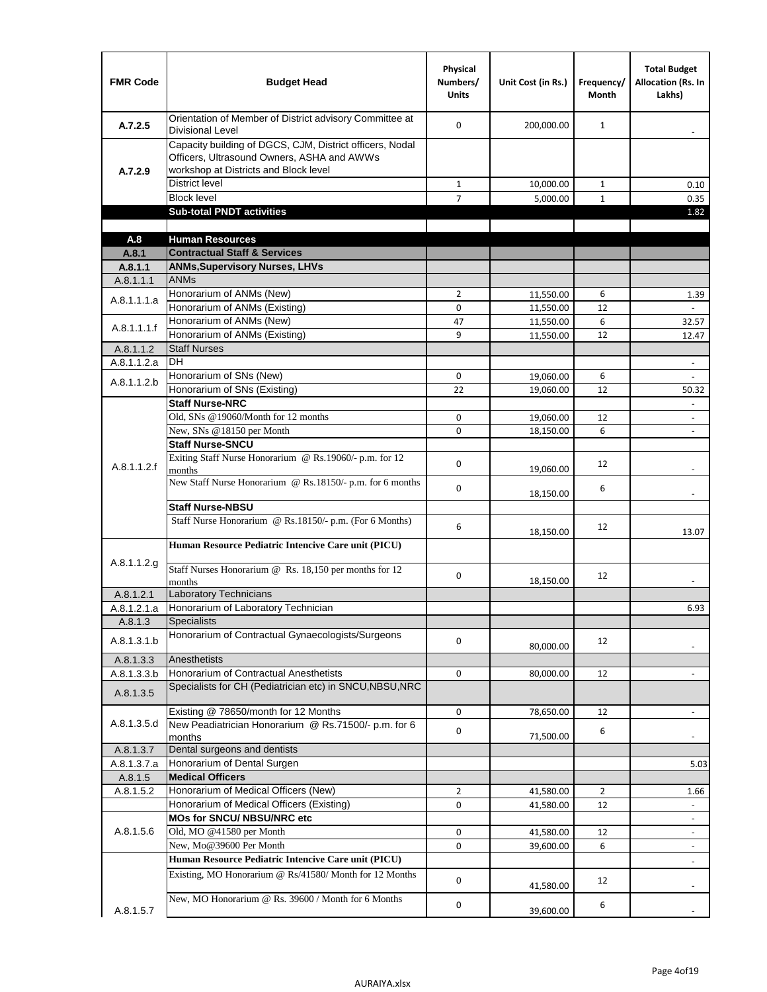| <b>FMR Code</b>          | <b>Budget Head</b>                                                                                                                              | Physical<br>Numbers/<br><b>Units</b> | Unit Cost (in Rs.) | Frequency/<br>Month | <b>Total Budget</b><br>Allocation (Rs. In<br>Lakhs) |
|--------------------------|-------------------------------------------------------------------------------------------------------------------------------------------------|--------------------------------------|--------------------|---------------------|-----------------------------------------------------|
| A.7.2.5                  | Orientation of Member of District advisory Committee at<br><b>Divisional Level</b>                                                              | $\Omega$                             | 200,000.00         | $\mathbf{1}$        | $\overline{\phantom{a}}$                            |
| A.7.2.9                  | Capacity building of DGCS, CJM, District officers, Nodal<br>Officers, Ultrasound Owners, ASHA and AWWs<br>workshop at Districts and Block level |                                      |                    |                     |                                                     |
|                          | <b>District level</b>                                                                                                                           | $\mathbf{1}$                         | 10,000.00          | $\mathbf{1}$        | 0.10                                                |
|                          | <b>Block level</b>                                                                                                                              | $\overline{7}$                       | 5,000.00           | $\mathbf{1}$        | 0.35                                                |
|                          | <b>Sub-total PNDT activities</b>                                                                                                                |                                      |                    |                     | 1.82                                                |
|                          |                                                                                                                                                 |                                      |                    |                     |                                                     |
| A.8                      | <b>Human Resources</b>                                                                                                                          |                                      |                    |                     |                                                     |
| A.8.1                    | <b>Contractual Staff &amp; Services</b>                                                                                                         |                                      |                    |                     |                                                     |
| A.8.1.1                  | <b>ANMs, Supervisory Nurses, LHVs</b>                                                                                                           |                                      |                    |                     |                                                     |
| A.8.1.1.1                | <b>ANMs</b>                                                                                                                                     |                                      |                    |                     |                                                     |
| A.8.1.1.1.a              | Honorarium of ANMs (New)                                                                                                                        | $\overline{2}$                       | 11,550.00          | 6                   | 1.39                                                |
|                          | Honorarium of ANMs (Existing)                                                                                                                   | 0                                    | 11,550.00          | 12                  |                                                     |
| A.8.1.1.1.f              | Honorarium of ANMs (New)                                                                                                                        | 47                                   | 11,550.00          | 6                   | 32.57                                               |
|                          | Honorarium of ANMs (Existing)<br><b>Staff Nurses</b>                                                                                            | 9                                    | 11,550.00          | 12                  | 12.47                                               |
| A.8.1.1.2                | <b>DH</b>                                                                                                                                       |                                      |                    |                     |                                                     |
| A.8.1.1.2.a              | Honorarium of SNs (New)                                                                                                                         | 0                                    |                    |                     | $\frac{1}{2}$                                       |
| A.8.1.1.2.b              | Honorarium of SNs (Existing)                                                                                                                    | 22                                   | 19,060.00          | 6<br>12             |                                                     |
|                          | <b>Staff Nurse-NRC</b>                                                                                                                          |                                      | 19,060.00          |                     | 50.32                                               |
|                          | Old, SNs @19060/Month for 12 months                                                                                                             | 0                                    | 19,060.00          | 12                  | $\overline{\phantom{a}}$                            |
|                          | New, SNs @18150 per Month                                                                                                                       | 0                                    | 18,150.00          | 6                   | $\overline{\phantom{a}}$                            |
|                          | <b>Staff Nurse-SNCU</b>                                                                                                                         |                                      |                    |                     |                                                     |
| A.8.1.1.2.f              | Exiting Staff Nurse Honorarium @ Rs.19060/- p.m. for 12<br>months                                                                               | 0                                    | 19,060.00          | 12                  |                                                     |
|                          | New Staff Nurse Honorarium @ Rs.18150/- p.m. for 6 months                                                                                       | 0                                    | 18,150.00          | 6                   |                                                     |
|                          | <b>Staff Nurse-NBSU</b>                                                                                                                         |                                      |                    |                     |                                                     |
|                          | Staff Nurse Honorarium @ Rs.18150/- p.m. (For 6 Months)                                                                                         | 6                                    | 18,150.00          | 12                  | 13.07                                               |
| A.8.1.1.2.g              | Human Resource Pediatric Intencive Care unit (PICU)                                                                                             |                                      |                    |                     |                                                     |
|                          | Staff Nurses Honorarium @ Rs. 18,150 per months for 12<br>months                                                                                | 0                                    | 18,150.00          | 12                  |                                                     |
| A.8.1.2.1                | Laboratory Technicians                                                                                                                          |                                      |                    |                     |                                                     |
| A.8.1.2.1.a              | Honorarium of Laboratory Technician                                                                                                             |                                      |                    |                     | 6.93                                                |
| A.8.1.3                  | <b>Specialists</b><br>Honorarium of Contractual Gynaecologists/Surgeons                                                                         |                                      |                    |                     |                                                     |
| A.8.1.3.1.b              | Anesthetists                                                                                                                                    | 0                                    | 80,000.00          | 12                  |                                                     |
| A.8.1.3.3<br>A.8.1.3.3.b | Honorarium of Contractual Anesthetists                                                                                                          | 0                                    | 80,000.00          | 12                  |                                                     |
| A.8.1.3.5                | Specialists for CH (Pediatrician etc) in SNCU, NBSU, NRC                                                                                        |                                      |                    |                     |                                                     |
|                          | Existing @ 78650/month for 12 Months                                                                                                            | 0                                    | 78,650.00          | 12                  | $\blacksquare$                                      |
| A.8.1.3.5.d              | New Peadiatrician Honorarium @ Rs.71500/- p.m. for 6<br>months                                                                                  | 0                                    | 71,500.00          | 6                   |                                                     |
| A.8.1.3.7                | Dental surgeons and dentists                                                                                                                    |                                      |                    |                     |                                                     |
| A.8.1.3.7.a              | Honorarium of Dental Surgen                                                                                                                     |                                      |                    |                     | 5.03                                                |
| A.8.1.5                  | <b>Medical Officers</b>                                                                                                                         |                                      |                    |                     |                                                     |
| A.8.1.5.2                | Honorarium of Medical Officers (New)                                                                                                            | $\overline{2}$                       | 41,580.00          | $\overline{2}$      | 1.66                                                |
|                          | Honorarium of Medical Officers (Existing)                                                                                                       | 0                                    | 41,580.00          | 12                  |                                                     |
|                          | MOs for SNCU/ NBSU/NRC etc                                                                                                                      |                                      |                    |                     |                                                     |
| A.8.1.5.6                | Old, MO @41580 per Month                                                                                                                        | 0                                    | 41,580.00          | 12                  | $\overline{\phantom{a}}$                            |
|                          | New, Mo@39600 Per Month                                                                                                                         | 0                                    | 39,600.00          | 6                   | $\overline{\phantom{a}}$                            |
|                          | Human Resource Pediatric Intencive Care unit (PICU)                                                                                             |                                      |                    |                     |                                                     |
|                          | Existing, MO Honorarium @ Rs/41580/ Month for 12 Months                                                                                         | $\mathbf 0$                          | 41,580.00          | 12                  |                                                     |
| A.8.1.5.7                | New, MO Honorarium @ Rs. 39600 / Month for 6 Months                                                                                             | 0                                    | 39,600.00          | 6                   |                                                     |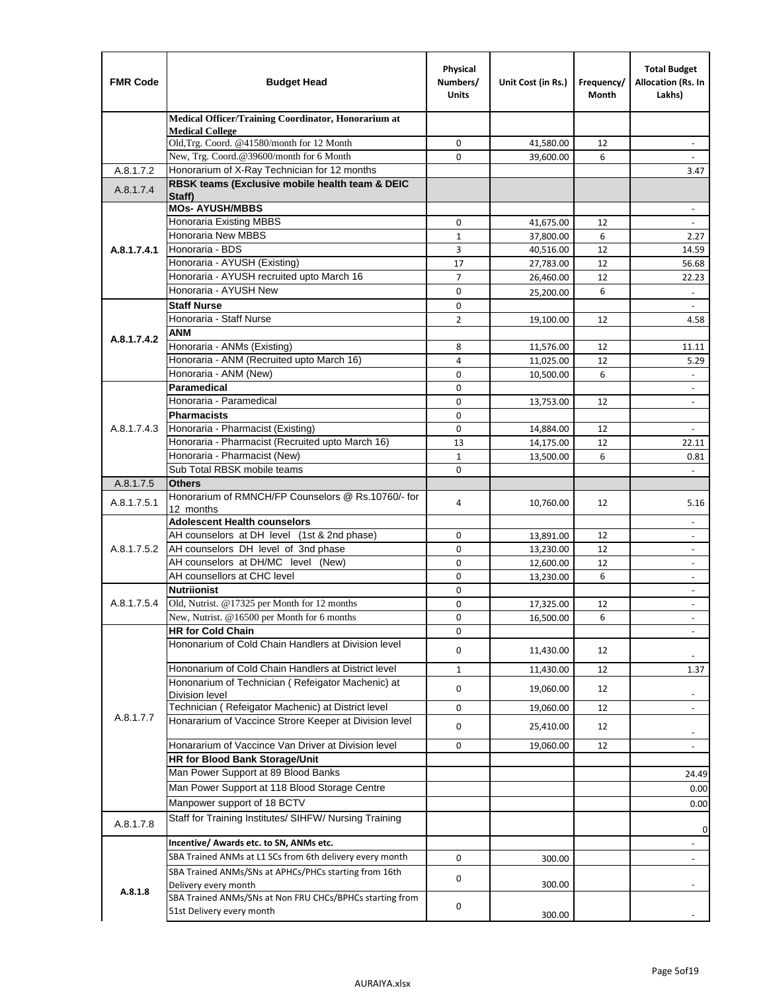| <b>FMR Code</b> | <b>Budget Head</b>                                                               | Physical<br>Numbers/<br><b>Units</b> | Unit Cost (in Rs.) | Frequency/<br>Month | <b>Total Budget</b><br>Allocation (Rs. In<br>Lakhs) |
|-----------------|----------------------------------------------------------------------------------|--------------------------------------|--------------------|---------------------|-----------------------------------------------------|
|                 | Medical Officer/Training Coordinator, Honorarium at                              |                                      |                    |                     |                                                     |
|                 | <b>Medical College</b><br>Old, Trg. Coord. @41580/month for 12 Month             | $\mathbf 0$                          | 41,580.00          | 12                  | $\overline{\phantom{a}}$                            |
|                 | New, Trg. Coord.@39600/month for 6 Month                                         | $\Omega$                             | 39,600.00          | 6                   |                                                     |
| A.8.1.7.2       | Honorarium of X-Ray Technician for 12 months                                     |                                      |                    |                     | 3.47                                                |
| A.8.1.7.4       | RBSK teams (Exclusive mobile health team & DEIC<br>Staff)                        |                                      |                    |                     |                                                     |
|                 | <b>MOs- AYUSH/MBBS</b>                                                           |                                      |                    |                     |                                                     |
|                 | <b>Honoraria Existing MBBS</b>                                                   | $\mathbf 0$                          | 41,675.00          | 12                  | $\omega$                                            |
|                 | Honoraria New MBBS                                                               | $\mathbf{1}$                         | 37,800.00          | 6                   | 2.27                                                |
| A.8.1.7.4.1     | Honoraria - BDS                                                                  | 3                                    | 40,516.00          | 12                  | 14.59                                               |
|                 | Honoraria - AYUSH (Existing)                                                     | 17                                   | 27,783.00          | 12                  | 56.68                                               |
|                 | Honoraria - AYUSH recruited upto March 16                                        | $\overline{7}$                       | 26,460.00          | 12                  | 22.23                                               |
|                 | Honoraria - AYUSH New                                                            | $\mathbf 0$                          | 25,200.00          | 6                   | $\overline{\phantom{a}}$                            |
|                 | <b>Staff Nurse</b>                                                               | 0                                    |                    |                     |                                                     |
|                 | Honoraria - Staff Nurse                                                          | $\overline{2}$                       | 19,100.00          | 12                  | 4.58                                                |
| A.8.1.7.4.2     | <b>ANM</b>                                                                       |                                      |                    |                     |                                                     |
|                 | Honoraria - ANMs (Existing)<br>Honoraria - ANM (Recruited upto March 16)         | 8                                    | 11,576.00          | 12                  | 11.11                                               |
|                 | Honoraria - ANM (New)                                                            | 4<br>0                               | 11,025.00          | 12<br>6             | 5.29                                                |
|                 | Paramedical                                                                      | $\mathbf 0$                          | 10,500.00          |                     | $\overline{\phantom{a}}$                            |
|                 | Honoraria - Paramedical                                                          | 0                                    | 13,753.00          | 12                  | $\blacksquare$                                      |
|                 | <b>Pharmacists</b>                                                               | $\mathbf 0$                          |                    |                     |                                                     |
| A.8.1.7.4.3     | Honoraria - Pharmacist (Existing)                                                | $\mathbf 0$                          | 14,884.00          | 12                  | $\overline{\phantom{a}}$                            |
|                 | Honoraria - Pharmacist (Recruited upto March 16)                                 | 13                                   | 14,175.00          | 12                  | 22.11                                               |
|                 | Honoraria - Pharmacist (New)                                                     | $\mathbf{1}$                         | 13,500.00          | 6                   | 0.81                                                |
|                 | Sub Total RBSK mobile teams                                                      | $\Omega$                             |                    |                     | $\omega$                                            |
| A.8.1.7.5       | <b>Others</b>                                                                    |                                      |                    |                     |                                                     |
| A.8.1.7.5.1     | Honorarium of RMNCH/FP Counselors @ Rs.10760/- for                               | 4                                    | 10,760.00          | 12                  | 5.16                                                |
|                 | 12 months                                                                        |                                      |                    |                     |                                                     |
|                 | <b>Adolescent Health counselors</b>                                              |                                      |                    |                     | $\blacksquare$                                      |
|                 | AH counselors at DH level (1st & 2nd phase)                                      | 0                                    | 13,891.00          | 12                  |                                                     |
| A.8.1.7.5.2     | AH counselors DH level of 3nd phase                                              | $\mathbf 0$                          | 13,230.00          | 12                  | $\overline{\phantom{a}}$                            |
|                 | AH counselors at DH/MC level (New)<br>AH counsellors at CHC level                | 0                                    | 12,600.00          | 12                  | $\blacksquare$                                      |
|                 |                                                                                  | $\mathbf 0$                          | 13,230.00          | 6                   | $\overline{\phantom{a}}$                            |
| A.8.1.7.5.4     | <b>Nutriionist</b><br>Old, Nutrist. @17325 per Month for 12 months               | 0                                    |                    |                     | $\overline{\phantom{a}}$                            |
|                 | New, Nutrist. $@16500$ per Month for 6 months                                    | 0                                    | 17,325.00          | 12                  | $\overline{\phantom{a}}$                            |
|                 | <b>HR for Cold Chain</b>                                                         | 0<br>0                               | 16,500.00          | 6                   |                                                     |
|                 | Hononarium of Cold Chain Handlers at Division level                              |                                      |                    |                     |                                                     |
|                 |                                                                                  | 0                                    | 11,430.00          | 12                  |                                                     |
|                 | Hononarium of Cold Chain Handlers at District level                              | $\mathbf{1}$                         | 11,430.00          | 12                  | 1.37                                                |
|                 | Hononarium of Technician (Refeigator Machenic) at<br><b>Division level</b>       | 0                                    | 19,060.00          | 12                  | $\overline{\phantom{a}}$                            |
|                 | Technician (Refeigator Machenic) at District level                               | 0                                    | 19,060.00          | 12                  | $\blacksquare$                                      |
| A.8.1.7.7       | Honararium of Vaccince Strore Keeper at Division level                           | 0                                    | 25,410.00          | 12                  |                                                     |
|                 | Honararium of Vaccince Van Driver at Division level                              |                                      |                    |                     | $\overline{\phantom{a}}$                            |
|                 | <b>HR for Blood Bank Storage/Unit</b>                                            | 0                                    | 19,060.00          | 12                  | $\overline{\phantom{a}}$                            |
|                 | Man Power Support at 89 Blood Banks                                              |                                      |                    |                     |                                                     |
|                 | Man Power Support at 118 Blood Storage Centre                                    |                                      |                    |                     | 24.49                                               |
|                 | Manpower support of 18 BCTV                                                      |                                      |                    |                     | 0.00                                                |
|                 | Staff for Training Institutes/ SIHFW/ Nursing Training                           |                                      |                    |                     | 0.00                                                |
| A.8.1.7.8       |                                                                                  |                                      |                    |                     | 0                                                   |
|                 | Incentive/ Awards etc. to SN, ANMs etc.                                          |                                      |                    |                     | $\overline{\phantom{a}}$                            |
|                 | SBA Trained ANMs at L1 SCs from 6th delivery every month                         | 0                                    | 300.00             |                     | $\blacksquare$                                      |
|                 | SBA Trained ANMs/SNs at APHCs/PHCs starting from 16th                            | 0                                    | 300.00             |                     |                                                     |
| A.8.1.8         | Delivery every month<br>SBA Trained ANMs/SNs at Non FRU CHCs/BPHCs starting from |                                      |                    |                     |                                                     |
|                 | 51st Delivery every month                                                        | 0                                    | 300.00             |                     |                                                     |
|                 |                                                                                  |                                      |                    |                     |                                                     |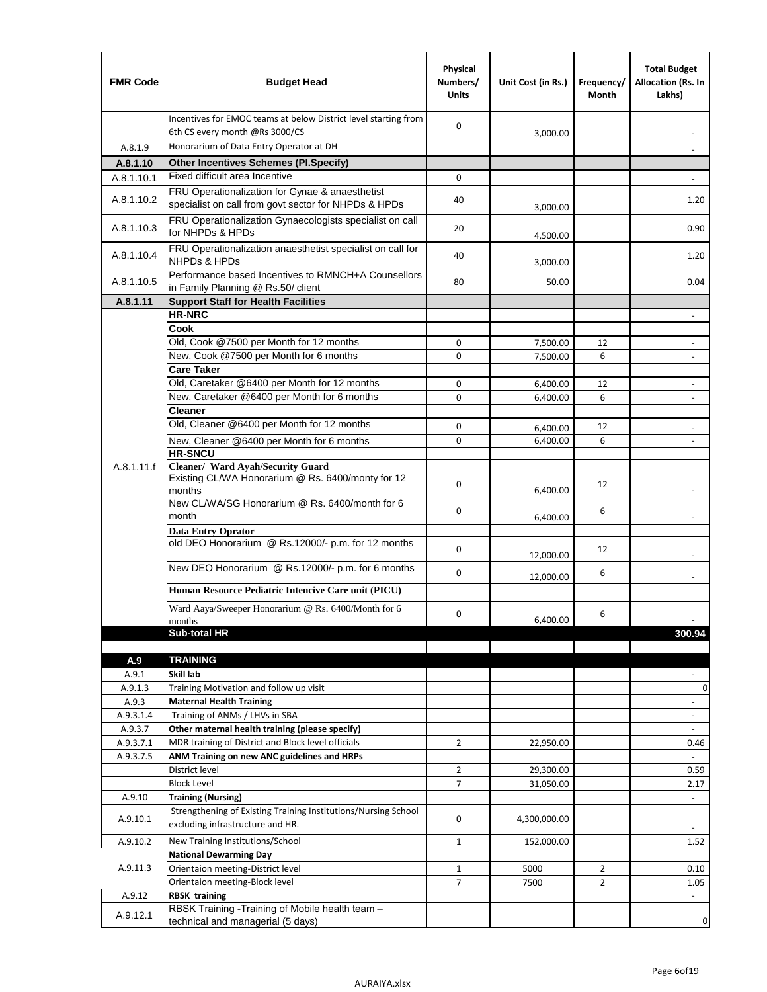| <b>FMR Code</b>  | <b>Budget Head</b>                                                                                      | Physical<br>Numbers/<br><b>Units</b> | Unit Cost (in Rs.)   | Frequency/<br>Month | <b>Total Budget</b><br>Allocation (Rs. In<br>Lakhs) |
|------------------|---------------------------------------------------------------------------------------------------------|--------------------------------------|----------------------|---------------------|-----------------------------------------------------|
|                  | Incentives for EMOC teams at below District level starting from<br>6th CS every month @Rs 3000/CS       | 0                                    | 3,000.00             |                     |                                                     |
| A.8.1.9          | Honorarium of Data Entry Operator at DH                                                                 |                                      |                      |                     |                                                     |
| A.8.1.10         | <b>Other Incentives Schemes (Pl.Specify)</b>                                                            |                                      |                      |                     |                                                     |
| A.8.1.10.1       | Fixed difficult area Incentive                                                                          | 0                                    |                      |                     |                                                     |
| A.8.1.10.2       | FRU Operationalization for Gynae & anaesthetist<br>specialist on call from govt sector for NHPDs & HPDs | 40                                   | 3,000.00             |                     | 1.20                                                |
| A.8.1.10.3       | FRU Operationalization Gynaecologists specialist on call<br>for NHPDs & HPDs                            | 20                                   | 4,500.00             |                     | 0.90                                                |
| A.8.1.10.4       | FRU Operationalization anaesthetist specialist on call for<br><b>NHPDs &amp; HPDs</b>                   | 40                                   | 3,000.00             |                     | 1.20                                                |
| A.8.1.10.5       | Performance based Incentives to RMNCH+A Counsellors<br>in Family Planning @ Rs.50/ client               | 80                                   | 50.00                |                     | 0.04                                                |
| A.8.1.11         | <b>Support Staff for Health Facilities</b>                                                              |                                      |                      |                     |                                                     |
|                  | <b>HR-NRC</b>                                                                                           |                                      |                      |                     | $\overline{\phantom{m}}$                            |
|                  | Cook                                                                                                    |                                      |                      |                     |                                                     |
|                  | Old, Cook @7500 per Month for 12 months                                                                 | 0                                    | 7,500.00             | 12                  | ÷,                                                  |
|                  | New, Cook @7500 per Month for 6 months<br><b>Care Taker</b>                                             | 0                                    | 7,500.00             | 6                   | $\overline{\phantom{a}}$                            |
|                  | Old, Caretaker @6400 per Month for 12 months                                                            | 0                                    | 6,400.00             | 12                  | $\overline{a}$                                      |
|                  | New, Caretaker @6400 per Month for 6 months                                                             | 0                                    | 6,400.00             | 6                   | $\overline{\phantom{m}}$                            |
|                  | <b>Cleaner</b>                                                                                          |                                      |                      |                     |                                                     |
|                  | Old, Cleaner @6400 per Month for 12 months                                                              | 0                                    |                      | 12                  |                                                     |
|                  | New, Cleaner @6400 per Month for 6 months                                                               | 0                                    | 6,400.00<br>6,400.00 | 6                   |                                                     |
|                  | <b>HR-SNCU</b>                                                                                          |                                      |                      |                     |                                                     |
| A.8.1.11.f       | Cleaner/ Ward Ayah/Security Guard                                                                       |                                      |                      |                     |                                                     |
|                  | Existing CL/WA Honorarium @ Rs. 6400/monty for 12<br>months                                             | 0                                    | 6,400.00             | 12                  |                                                     |
|                  | New CL/WA/SG Honorarium @ Rs. 6400/month for 6<br>month                                                 | 0                                    | 6,400.00             | 6                   |                                                     |
|                  | <b>Data Entry Oprator</b><br>old DEO Honorarium @ Rs.12000/- p.m. for 12 months                         | 0                                    |                      | 12                  |                                                     |
|                  | New DEO Honorarium @ Rs.12000/- p.m. for 6 months                                                       |                                      | 12,000.00            |                     |                                                     |
|                  | Human Resource Pediatric Intencive Care unit (PICU)                                                     | 0                                    | 12,000.00            | 6                   |                                                     |
|                  | Ward Aaya/Sweeper Honorarium @ Rs. 6400/Month for 6                                                     |                                      |                      |                     |                                                     |
|                  | months                                                                                                  | 0                                    | 6,400.00             | 6                   | $\overline{\phantom{a}}$                            |
|                  | Sub-total HR                                                                                            |                                      |                      |                     | 300.94                                              |
|                  |                                                                                                         |                                      |                      |                     |                                                     |
| A.9              | <b>TRAINING</b>                                                                                         |                                      |                      |                     |                                                     |
| A.9.1            | Skill lab                                                                                               |                                      |                      |                     |                                                     |
| A.9.1.3<br>A.9.3 | Training Motivation and follow up visit                                                                 |                                      |                      |                     | 0                                                   |
| A.9.3.1.4        | <b>Maternal Health Training</b><br>Training of ANMs / LHVs in SBA                                       |                                      |                      |                     | $\blacksquare$<br>$\overline{\phantom{a}}$          |
| A.9.3.7          | Other maternal health training (please specify)                                                         |                                      |                      |                     | $\overline{\phantom{a}}$                            |
| A.9.3.7.1        | MDR training of District and Block level officials                                                      | $\overline{2}$                       | 22,950.00            |                     | 0.46                                                |
| A.9.3.7.5        | ANM Training on new ANC guidelines and HRPs                                                             |                                      |                      |                     |                                                     |
|                  | District level                                                                                          | $\overline{2}$                       | 29,300.00            |                     | 0.59                                                |
|                  | <b>Block Level</b>                                                                                      | 7                                    | 31,050.00            |                     | 2.17                                                |
| A.9.10           | <b>Training (Nursing)</b>                                                                               |                                      |                      |                     | $\blacksquare$                                      |
| A.9.10.1         | Strengthening of Existing Training Institutions/Nursing School<br>excluding infrastructure and HR.      | 0                                    | 4,300,000.00         |                     |                                                     |
| A.9.10.2         | New Training Institutions/School                                                                        | $\mathbf{1}$                         | 152,000.00           |                     | 1.52                                                |
|                  | <b>National Dewarming Day</b>                                                                           |                                      |                      |                     |                                                     |
| A.9.11.3         | Orientaion meeting-District level                                                                       | 1                                    | 5000                 | $\overline{2}$      | 0.10                                                |
|                  | Orientaion meeting-Block level                                                                          | $\overline{7}$                       | 7500                 | $\overline{2}$      | 1.05                                                |
| A.9.12           | <b>RBSK training</b>                                                                                    |                                      |                      |                     |                                                     |
| A.9.12.1         | RBSK Training -Training of Mobile health team -<br>technical and managerial (5 days)                    |                                      |                      |                     | 0                                                   |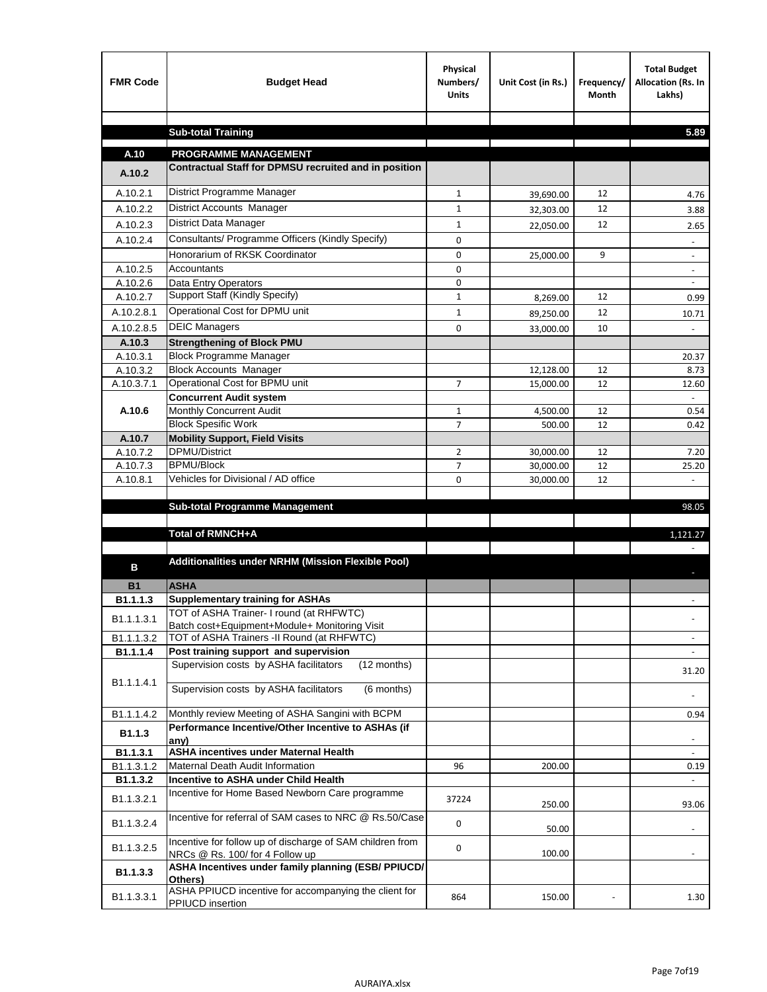| <b>FMR Code</b>    | <b>Budget Head</b>                                                                             | Physical<br>Numbers/<br><b>Units</b> | Unit Cost (in Rs.)     | Frequency/<br><b>Month</b> | <b>Total Budget</b><br>Allocation (Rs. In<br>Lakhs) |
|--------------------|------------------------------------------------------------------------------------------------|--------------------------------------|------------------------|----------------------------|-----------------------------------------------------|
|                    |                                                                                                |                                      |                        |                            |                                                     |
|                    | <b>Sub-total Training</b>                                                                      |                                      |                        |                            | 5.89                                                |
| A.10               | <b>PROGRAMME MANAGEMENT</b>                                                                    |                                      |                        |                            |                                                     |
| A.10.2             | Contractual Staff for DPMSU recruited and in position                                          |                                      |                        |                            |                                                     |
| A.10.2.1           | District Programme Manager                                                                     | $\mathbf{1}$                         |                        | 12                         |                                                     |
| A.10.2.2           | District Accounts Manager                                                                      | 1                                    | 39,690.00              | 12                         | 4.76                                                |
| A.10.2.3           | District Data Manager                                                                          | $\mathbf{1}$                         | 32,303.00              | 12                         | 3.88                                                |
| A.10.2.4           | Consultants/ Programme Officers (Kindly Specify)                                               | $\mathbf 0$                          | 22,050.00              |                            | 2.65                                                |
|                    | Honorarium of RKSK Coordinator                                                                 | 0                                    |                        | 9                          | $\overline{\phantom{a}}$                            |
| A.10.2.5           | Accountants                                                                                    | 0                                    | 25,000.00              |                            |                                                     |
| A.10.2.6           | Data Entry Operators                                                                           | 0                                    |                        |                            | $\overline{\phantom{a}}$                            |
| A.10.2.7           | Support Staff (Kindly Specify)                                                                 | $\mathbf{1}$                         | 8,269.00               | 12                         | 0.99                                                |
| A.10.2.8.1         | Operational Cost for DPMU unit                                                                 | $\mathbf{1}$                         | 89,250.00              | 12                         | 10.71                                               |
| A.10.2.8.5         | <b>DEIC Managers</b>                                                                           | $\mathbf 0$                          | 33,000.00              | 10                         |                                                     |
| A.10.3             | <b>Strengthening of Block PMU</b>                                                              |                                      |                        |                            |                                                     |
| A.10.3.1           | <b>Block Programme Manager</b>                                                                 |                                      |                        |                            | 20.37                                               |
| A.10.3.2           | <b>Block Accounts Manager</b>                                                                  |                                      | 12,128.00              | 12                         | 8.73                                                |
| A.10.3.7.1         | Operational Cost for BPMU unit                                                                 | 7                                    | 15,000.00              | 12                         | 12.60                                               |
|                    | <b>Concurrent Audit system</b>                                                                 |                                      |                        |                            |                                                     |
| A.10.6             | Monthly Concurrent Audit                                                                       | $\mathbf{1}$                         | 4,500.00               | 12                         | 0.54                                                |
|                    | <b>Block Spesific Work</b>                                                                     | 7                                    | 500.00                 | 12                         | 0.42                                                |
| A.10.7<br>A.10.7.2 | <b>Mobility Support, Field Visits</b><br>DPMU/District                                         |                                      |                        |                            |                                                     |
| A.10.7.3           | <b>BPMU/Block</b>                                                                              | $\overline{2}$<br>7                  | 30,000.00<br>30,000.00 | 12<br>12                   | 7.20<br>25.20                                       |
| A.10.8.1           | Vehicles for Divisional / AD office                                                            | 0                                    | 30,000.00              | 12                         |                                                     |
|                    |                                                                                                |                                      |                        |                            |                                                     |
|                    | <b>Sub-total Programme Management</b>                                                          |                                      |                        |                            | 98.05                                               |
|                    |                                                                                                |                                      |                        |                            |                                                     |
|                    | Total of RMNCH+A                                                                               |                                      |                        |                            | 1,121.27                                            |
| в                  | Additionalities under NRHM (Mission Flexible Pool)                                             |                                      |                        |                            |                                                     |
| <b>B1</b>          | <b>ASHA</b>                                                                                    |                                      |                        |                            |                                                     |
| B1.1.1.3           | <b>Supplementary training for ASHAs</b>                                                        |                                      |                        |                            |                                                     |
| B1.1.1.3.1         | TOT of ASHA Trainer- I round (at RHFWTC)                                                       |                                      |                        |                            |                                                     |
|                    | Batch cost+Equipment+Module+ Monitoring Visit                                                  |                                      |                        |                            |                                                     |
| B1.1.1.3.2         | TOT of ASHA Trainers -II Round (at RHFWTC)                                                     |                                      |                        |                            |                                                     |
| B1.1.1.4           | Post training support and supervision<br>Supervision costs by ASHA facilitators<br>(12 months) |                                      |                        |                            | $\sim$                                              |
|                    |                                                                                                |                                      |                        |                            | 31.20                                               |
| B1.1.1.4.1         | Supervision costs by ASHA facilitators<br>(6 months)                                           |                                      |                        |                            |                                                     |
| B1.1.1.4.2         | Monthly review Meeting of ASHA Sangini with BCPM                                               |                                      |                        |                            | 0.94                                                |
| B1.1.3             | Performance Incentive/Other Incentive to ASHAs (if<br>any)                                     |                                      |                        |                            |                                                     |
| B1.1.3.1           | <b>ASHA incentives under Maternal Health</b>                                                   |                                      |                        |                            |                                                     |
| B1.1.3.1.2         | Maternal Death Audit Information                                                               | 96                                   | 200.00                 |                            | 0.19                                                |
| B1.1.3.2           | Incentive to ASHA under Child Health                                                           |                                      |                        |                            | $\omega$                                            |
| B1.1.3.2.1         | Incentive for Home Based Newborn Care programme                                                | 37224                                | 250.00                 |                            | 93.06                                               |
| B1.1.3.2.4         | Incentive for referral of SAM cases to NRC @ Rs.50/Case                                        | 0                                    | 50.00                  |                            |                                                     |
| B1.1.3.2.5         | Incentive for follow up of discharge of SAM children from<br>NRCs @ Rs. 100/ for 4 Follow up   | 0                                    | 100.00                 |                            | $\sim$                                              |
| B1.1.3.3           | ASHA Incentives under family planning (ESB/ PPIUCD/<br>Others)                                 |                                      |                        |                            |                                                     |
| B1.1.3.3.1         | ASHA PPIUCD incentive for accompanying the client for<br>PPIUCD insertion                      | 864                                  | 150.00                 |                            | 1.30                                                |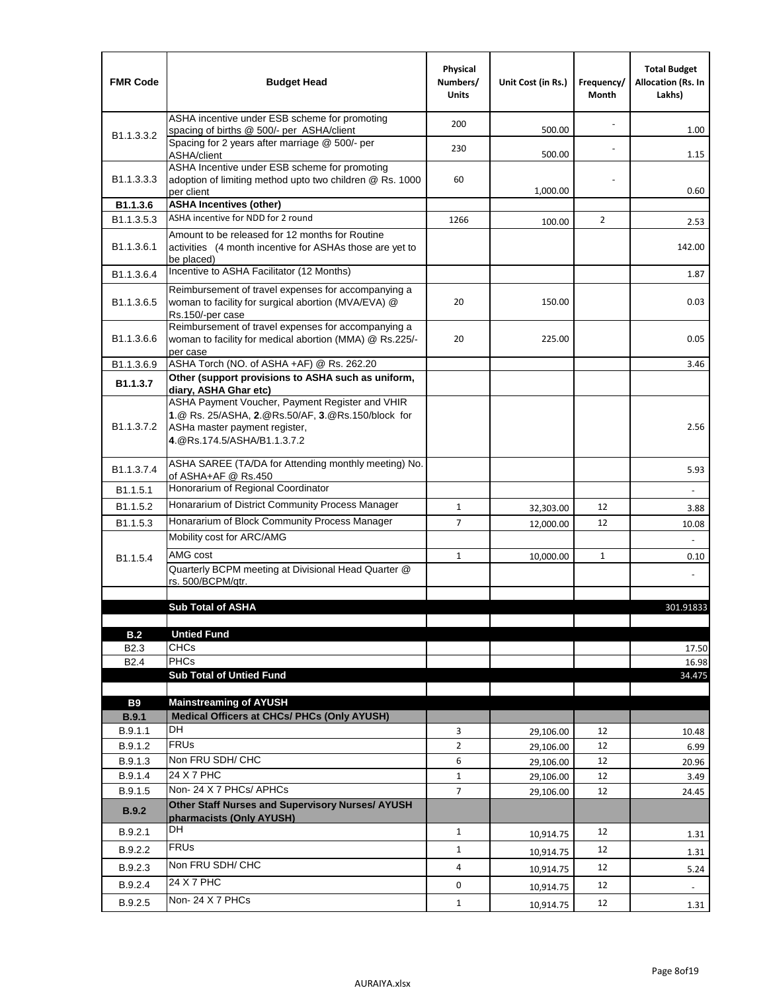| <b>FMR Code</b>            | <b>Budget Head</b>                                                                                                                                                    | Physical<br>Numbers/<br><b>Units</b> | Unit Cost (in Rs.) | Frequency/<br>Month | <b>Total Budget</b><br><b>Allocation (Rs. In</b><br>Lakhs) |
|----------------------------|-----------------------------------------------------------------------------------------------------------------------------------------------------------------------|--------------------------------------|--------------------|---------------------|------------------------------------------------------------|
|                            | ASHA incentive under ESB scheme for promoting<br>spacing of births @ 500/- per ASHA/client                                                                            | 200                                  | 500.00             |                     | 1.00                                                       |
| B <sub>1.1</sub> , 3, 3, 2 | Spacing for 2 years after marriage @ 500/- per<br>ASHA/client                                                                                                         | 230                                  | 500.00             |                     | 1.15                                                       |
| B1.1.3.3.3                 | ASHA Incentive under ESB scheme for promoting<br>adoption of limiting method upto two children @ Rs. 1000<br>per client                                               | 60                                   | 1,000.00           |                     | 0.60                                                       |
| B1.1.3.6                   | <b>ASHA Incentives (other)</b>                                                                                                                                        |                                      |                    |                     |                                                            |
| B <sub>1.1</sub> , 3, 5, 3 | ASHA incentive for NDD for 2 round                                                                                                                                    | 1266                                 | 100.00             | $\overline{2}$      | 2.53                                                       |
| B <sub>1.1</sub> .3.6.1    | Amount to be released for 12 months for Routine<br>activities (4 month incentive for ASHAs those are yet to<br>be placed)                                             |                                      |                    |                     | 142.00                                                     |
| B <sub>1.1</sub> .3.6.4    | Incentive to ASHA Facilitator (12 Months)                                                                                                                             |                                      |                    |                     | 1.87                                                       |
| B <sub>1.1</sub> .3.6.5    | Reimbursement of travel expenses for accompanying a<br>woman to facility for surgical abortion (MVA/EVA) @<br>Rs.150/-per case                                        | 20                                   | 150.00             |                     | 0.03                                                       |
| B <sub>1.1</sub> .3.6.6    | Reimbursement of travel expenses for accompanying a<br>woman to facility for medical abortion (MMA) @ Rs.225/-<br>per case                                            | 20                                   | 225.00             |                     | 0.05                                                       |
| B1.1.3.6.9                 | ASHA Torch (NO. of ASHA +AF) @ Rs. 262.20                                                                                                                             |                                      |                    |                     | 3.46                                                       |
| B1.1.3.7                   | Other (support provisions to ASHA such as uniform,<br>diary, ASHA Ghar etc)                                                                                           |                                      |                    |                     |                                                            |
| B <sub>1.1</sub> .3.7.2    | ASHA Payment Voucher, Payment Register and VHIR<br>1.@ Rs. 25/ASHA, 2.@Rs.50/AF, 3.@Rs.150/block for<br>ASHa master payment register,<br>4. @Rs.174.5/ASHA/B1.1.3.7.2 |                                      |                    |                     | 2.56                                                       |
| B <sub>1.1</sub> , 3, 7, 4 | ASHA SAREE (TA/DA for Attending monthly meeting) No.<br>of ASHA+AF @ Rs.450                                                                                           |                                      |                    |                     | 5.93                                                       |
| B <sub>1.1</sub> .5.1      | Honorarium of Regional Coordinator                                                                                                                                    |                                      |                    |                     |                                                            |
| B1.1.5.2                   | Honararium of District Community Process Manager                                                                                                                      | $\mathbf{1}$                         | 32,303.00          | 12                  | 3.88                                                       |
| B1.1.5.3                   | Honararium of Block Community Process Manager                                                                                                                         | $\overline{7}$                       | 12,000.00          | 12                  | 10.08                                                      |
|                            | Mobility cost for ARC/AMG                                                                                                                                             |                                      |                    |                     |                                                            |
| B <sub>1.1.5.4</sub>       | AMG cost                                                                                                                                                              | $\mathbf{1}$                         | 10,000.00          | $\mathbf{1}$        | 0.10                                                       |
|                            | Quarterly BCPM meeting at Divisional Head Quarter @<br>rs. 500/BCPM/qtr.                                                                                              |                                      |                    |                     |                                                            |
|                            |                                                                                                                                                                       |                                      |                    |                     |                                                            |
|                            | <b>Sub Total of ASHA</b>                                                                                                                                              |                                      |                    |                     | 301.91833                                                  |
|                            |                                                                                                                                                                       |                                      |                    |                     |                                                            |
| B.2<br>B <sub>2.3</sub>    | <b>Untied Fund</b><br><b>CHCs</b>                                                                                                                                     |                                      |                    |                     | 17.50                                                      |
| B <sub>2.4</sub>           | PHCs                                                                                                                                                                  |                                      |                    |                     | 16.98                                                      |
|                            | <b>Sub Total of Untied Fund</b>                                                                                                                                       |                                      |                    |                     | 34.475                                                     |
|                            |                                                                                                                                                                       |                                      |                    |                     |                                                            |
| <b>B9</b>                  | <b>Mainstreaming of AYUSH</b>                                                                                                                                         |                                      |                    |                     |                                                            |
| B.9.1                      | Medical Officers at CHCs/ PHCs (Only AYUSH)<br><b>DH</b>                                                                                                              |                                      |                    |                     |                                                            |
| B.9.1.1                    | <b>FRUs</b>                                                                                                                                                           | 3                                    | 29,106.00          | 12                  | 10.48                                                      |
| B.9.1.2                    | Non FRU SDH/ CHC                                                                                                                                                      | $\overline{2}$                       | 29,106.00          | 12                  | 6.99                                                       |
| B.9.1.3<br>B.9.1.4         | 24 X 7 PHC                                                                                                                                                            | 6                                    | 29,106.00          | 12                  | 20.96                                                      |
| B.9.1.5                    | Non-24 X 7 PHCs/ APHCs                                                                                                                                                | $\mathbf{1}$<br>7                    | 29,106.00          | 12<br>12            | 3.49                                                       |
| <b>B.9.2</b>               | Other Staff Nurses and Supervisory Nurses/ AYUSH                                                                                                                      |                                      | 29,106.00          |                     | 24.45                                                      |
| B.9.2.1                    | pharmacists (Only AYUSH)<br>DH                                                                                                                                        | $\mathbf{1}$                         |                    | 12                  |                                                            |
|                            | <b>FRUs</b>                                                                                                                                                           |                                      | 10,914.75          |                     | 1.31                                                       |
| B.9.2.2                    | Non FRU SDH/ CHC                                                                                                                                                      | $\mathbf{1}$                         | 10,914.75          | 12                  | 1.31                                                       |
| B.9.2.3                    |                                                                                                                                                                       | 4                                    | 10,914.75          | 12                  | 5.24                                                       |
| B.9.2.4                    | 24 X 7 PHC                                                                                                                                                            | 0                                    | 10,914.75          | 12                  | $\overline{\phantom{a}}$                                   |
| B.9.2.5                    | Non-24 X 7 PHCs                                                                                                                                                       | $\mathbf{1}$                         | 10,914.75          | 12                  | 1.31                                                       |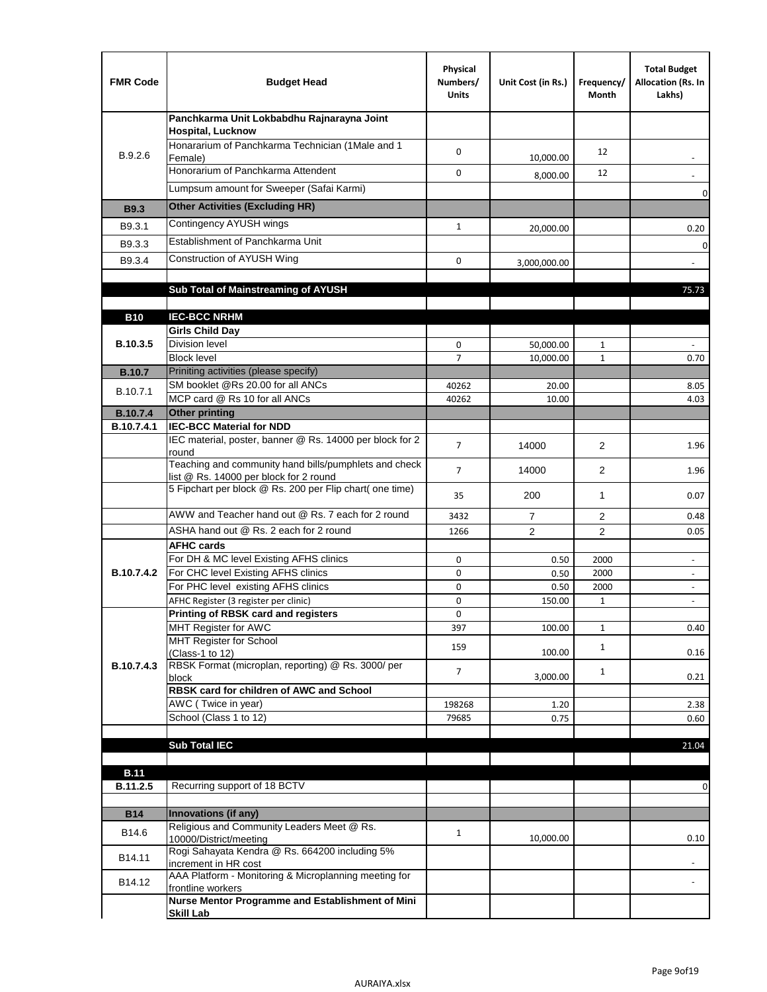| <b>FMR Code</b>   | <b>Budget Head</b>                                                                              | Physical<br>Numbers/<br><b>Units</b> | Unit Cost (in Rs.) | Frequency/<br>Month | <b>Total Budget</b><br>Allocation (Rs. In<br>Lakhs)  |
|-------------------|-------------------------------------------------------------------------------------------------|--------------------------------------|--------------------|---------------------|------------------------------------------------------|
|                   | Panchkarma Unit Lokbabdhu Rajnarayna Joint<br><b>Hospital, Lucknow</b>                          |                                      |                    |                     |                                                      |
| B.9.2.6           | Honararium of Panchkarma Technician (1Male and 1<br>Female)                                     | 0                                    | 10,000.00          | 12                  |                                                      |
|                   | Honorarium of Panchkarma Attendent                                                              | $\mathbf 0$                          | 8,000.00           | 12                  |                                                      |
|                   | Lumpsum amount for Sweeper (Safai Karmi)                                                        |                                      |                    |                     | 0                                                    |
| <b>B9.3</b>       | <b>Other Activities (Excluding HR)</b>                                                          |                                      |                    |                     |                                                      |
| B9.3.1            | Contingency AYUSH wings                                                                         | $\mathbf{1}$                         | 20,000.00          |                     | 0.20                                                 |
| B9.3.3            | Establishment of Panchkarma Unit                                                                |                                      |                    |                     | $\mathbf 0$                                          |
| B9.3.4            | Construction of AYUSH Wing                                                                      | 0                                    | 3,000,000.00       |                     |                                                      |
|                   |                                                                                                 |                                      |                    |                     |                                                      |
|                   | Sub Total of Mainstreaming of AYUSH                                                             |                                      |                    |                     | 75.73                                                |
| <b>B10</b>        | <b>IEC-BCC NRHM</b>                                                                             |                                      |                    |                     |                                                      |
|                   | <b>Girls Child Day</b>                                                                          |                                      |                    |                     |                                                      |
| B.10.3.5          | <b>Division level</b>                                                                           | 0                                    | 50,000.00          | 1                   |                                                      |
|                   | <b>Block level</b>                                                                              | $\overline{7}$                       | 10,000.00          | $\mathbf{1}$        | 0.70                                                 |
| <b>B.10.7</b>     | Priniting activities (please specify)<br>SM booklet @Rs 20.00 for all ANCs                      |                                      |                    |                     |                                                      |
| B.10.7.1          | MCP card @ Rs 10 for all ANCs                                                                   | 40262<br>40262                       | 20.00<br>10.00     |                     | 8.05<br>4.03                                         |
| <b>B.10.7.4</b>   | <b>Other printing</b>                                                                           |                                      |                    |                     |                                                      |
| B.10.7.4.1        | <b>IEC-BCC Material for NDD</b>                                                                 |                                      |                    |                     |                                                      |
|                   | IEC material, poster, banner @ Rs. 14000 per block for 2<br>round                               | $\overline{7}$                       | 14000              | $\overline{2}$      | 1.96                                                 |
|                   | Teaching and community hand bills/pumphlets and check<br>list @ Rs. 14000 per block for 2 round | $\overline{7}$                       | 14000              | $\overline{2}$      | 1.96                                                 |
|                   | 5 Fipchart per block @ Rs. 200 per Flip chart( one time)                                        | 35                                   | 200                | 1                   | 0.07                                                 |
|                   | AWW and Teacher hand out @ Rs. 7 each for 2 round                                               | 3432                                 | $\overline{7}$     | 2                   | 0.48                                                 |
|                   | ASHA hand out @ Rs. 2 each for 2 round                                                          | 1266                                 | $\overline{2}$     | 2                   | 0.05                                                 |
|                   | <b>AFHC cards</b><br>For DH & MC level Existing AFHS clinics                                    |                                      |                    |                     |                                                      |
| <b>B.10.7.4.2</b> | For CHC level Existing AFHS clinics                                                             | 0<br>0                               | 0.50<br>0.50       | 2000<br>2000        | $\overline{\phantom{a}}$<br>$\overline{\phantom{a}}$ |
|                   | For PHC level existing AFHS clinics                                                             | 0                                    | 0.50               | 2000                | $\bar{a}$                                            |
|                   | AFHC Register (3 register per clinic)                                                           | 0                                    | 150.00             | $\mathbf{1}$        | $\blacksquare$                                       |
|                   | Printing of RBSK card and registers                                                             | 0                                    |                    |                     |                                                      |
|                   | MHT Register for AWC<br>MHT Register for School                                                 | 397                                  | 100.00             | $\mathbf{1}$        | 0.40                                                 |
|                   | (Class-1 to 12)                                                                                 | 159                                  | 100.00             | $\mathbf{1}$        | 0.16                                                 |
| B.10.7.4.3        | RBSK Format (microplan, reporting) @ Rs. 3000/ per                                              | 7                                    |                    | $\mathbf{1}$        |                                                      |
|                   | block<br>RBSK card for children of AWC and School                                               |                                      | 3,000.00           |                     | 0.21                                                 |
|                   | AWC (Twice in year)                                                                             | 198268                               | 1.20               |                     | 2.38                                                 |
|                   | School (Class 1 to 12)                                                                          | 79685                                | 0.75               |                     | 0.60                                                 |
|                   |                                                                                                 |                                      |                    |                     |                                                      |
|                   | <b>Sub Total IEC</b>                                                                            |                                      |                    |                     | 21.04                                                |
| <b>B.11</b>       |                                                                                                 |                                      |                    |                     |                                                      |
| B.11.2.5          | Recurring support of 18 BCTV                                                                    |                                      |                    |                     | 0                                                    |
|                   |                                                                                                 |                                      |                    |                     |                                                      |
| <b>B14</b>        | Innovations (if any)<br>Religious and Community Leaders Meet @ Rs.                              |                                      |                    |                     |                                                      |
| B14.6             | 10000/District/meeting                                                                          | $\mathbf{1}$                         | 10,000.00          |                     | 0.10                                                 |
| B14.11            | Rogi Sahayata Kendra @ Rs. 664200 including 5%<br>increment in HR cost                          |                                      |                    |                     |                                                      |
| B14.12            | AAA Platform - Monitoring & Microplanning meeting for<br>frontline workers                      |                                      |                    |                     |                                                      |
|                   | Nurse Mentor Programme and Establishment of Mini                                                |                                      |                    |                     |                                                      |
|                   | <b>Skill Lab</b>                                                                                |                                      |                    |                     |                                                      |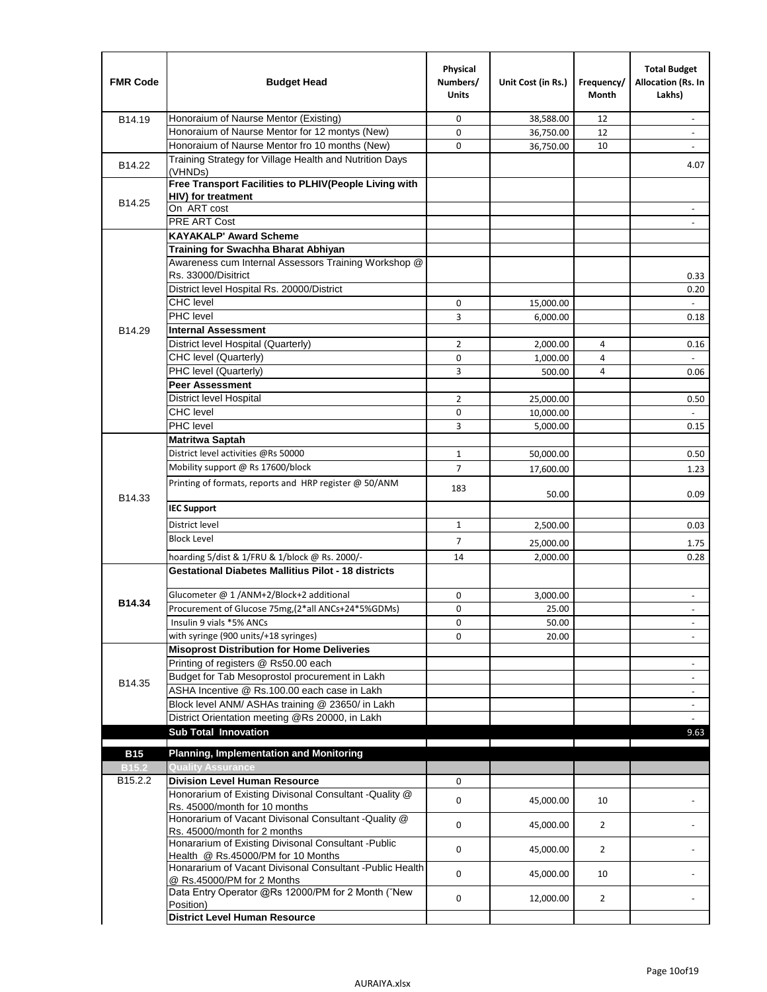| <b>FMR Code</b>   | <b>Budget Head</b>                                                                              | Physical<br>Numbers/<br><b>Units</b> | Unit Cost (in Rs.) | Frequency/<br><b>Month</b> | <b>Total Budget</b><br>Allocation (Rs. In<br>Lakhs) |
|-------------------|-------------------------------------------------------------------------------------------------|--------------------------------------|--------------------|----------------------------|-----------------------------------------------------|
| B14.19            | Honoraium of Naurse Mentor (Existing)                                                           | 0                                    | 38,588.00          | 12                         | $\sim$                                              |
|                   | Honoraium of Naurse Mentor for 12 montys (New)                                                  | 0                                    | 36,750.00          | 12                         |                                                     |
|                   | Honoraium of Naurse Mentor fro 10 months (New)                                                  | 0                                    | 36,750.00          | 10                         | $\sim$                                              |
| B14.22            | Training Strategy for Village Health and Nutrition Days<br>(VHNDs)                              |                                      |                    |                            | 4.07                                                |
|                   | Free Transport Facilities to PLHIV(People Living with                                           |                                      |                    |                            |                                                     |
| B14.25            | <b>HIV)</b> for treatment                                                                       |                                      |                    |                            |                                                     |
|                   | On ART cost                                                                                     |                                      |                    |                            |                                                     |
|                   | PRE ART Cost                                                                                    |                                      |                    |                            |                                                     |
|                   | <b>KAYAKALP' Award Scheme</b>                                                                   |                                      |                    |                            |                                                     |
|                   | Training for Swachha Bharat Abhiyan                                                             |                                      |                    |                            |                                                     |
|                   | Awareness cum Internal Assessors Training Workshop @<br>Rs. 33000/Disitrict                     |                                      |                    |                            |                                                     |
|                   | District level Hospital Rs. 20000/District                                                      |                                      |                    |                            | 0.33<br>0.20                                        |
|                   | <b>CHC</b> level                                                                                | 0                                    | 15,000.00          |                            | $\blacksquare$                                      |
|                   | <b>PHC</b> level                                                                                | 3                                    | 6,000.00           |                            | 0.18                                                |
| B14.29            | <b>Internal Assessment</b>                                                                      |                                      |                    |                            |                                                     |
|                   | District level Hospital (Quarterly)                                                             | 2                                    | 2,000.00           | 4                          | 0.16                                                |
|                   | CHC level (Quarterly)                                                                           | 0                                    | 1,000.00           | 4                          |                                                     |
|                   | PHC level (Quarterly)                                                                           | 3                                    | 500.00             | 4                          | 0.06                                                |
|                   | <b>Peer Assessment</b>                                                                          |                                      |                    |                            |                                                     |
|                   | <b>District level Hospital</b>                                                                  | $\overline{2}$                       | 25.000.00          |                            | 0.50                                                |
|                   | <b>CHC</b> level                                                                                | 0                                    | 10,000.00          |                            |                                                     |
|                   | PHC level                                                                                       | 3                                    | 5,000.00           |                            | 0.15                                                |
|                   | Matritwa Saptah                                                                                 |                                      |                    |                            |                                                     |
|                   | District level activities @Rs 50000                                                             | $\mathbf{1}$                         | 50,000.00          |                            | 0.50                                                |
|                   | Mobility support @ Rs 17600/block                                                               | $\overline{7}$                       |                    |                            |                                                     |
|                   | Printing of formats, reports and HRP register @ 50/ANM                                          |                                      | 17,600.00          |                            | 1.23                                                |
| B14.33            | <b>IEC Support</b>                                                                              | 183                                  | 50.00              |                            | 0.09                                                |
|                   |                                                                                                 |                                      |                    |                            |                                                     |
|                   | District level                                                                                  | 1                                    | 2,500.00           |                            | 0.03                                                |
|                   | <b>Block Level</b>                                                                              | 7                                    | 25,000.00          |                            | 1.75                                                |
|                   | hoarding 5/dist & 1/FRU & 1/block @ Rs. 2000/-                                                  | 14                                   | 2,000.00           |                            | 0.28                                                |
|                   | <b>Gestational Diabetes Mallitius Pilot - 18 districts</b>                                      |                                      |                    |                            |                                                     |
|                   | Glucometer @ 1 /ANM+2/Block+2 additional                                                        | 0                                    | 3,000.00           |                            | $\overline{\phantom{a}}$                            |
| B14.34            | Procurement of Glucose 75mg, (2*all ANCs+24*5%GDMs)                                             | 0                                    | 25.00              |                            |                                                     |
|                   | Insulin 9 vials *5% ANCs                                                                        | 0                                    | 50.00              |                            | $\blacksquare$                                      |
|                   | with syringe (900 units/+18 syringes)                                                           | 0                                    | 20.00              |                            |                                                     |
|                   | <b>Misoprost Distribution for Home Deliveries</b>                                               |                                      |                    |                            |                                                     |
|                   | Printing of registers @ Rs50.00 each                                                            |                                      |                    |                            | $\overline{\phantom{a}}$                            |
| B14.35            | Budget for Tab Mesoprostol procurement in Lakh                                                  |                                      |                    |                            | $\blacksquare$                                      |
|                   | ASHA Incentive @ Rs.100.00 each case in Lakh                                                    |                                      |                    |                            | $\overline{\phantom{a}}$                            |
|                   | Block level ANM/ ASHAs training @ 23650/ in Lakh                                                |                                      |                    |                            | $\overline{\phantom{a}}$                            |
|                   | District Orientation meeting @Rs 20000, in Lakh                                                 |                                      |                    |                            |                                                     |
|                   | <b>Sub Total Innovation</b>                                                                     |                                      |                    |                            | 9.63                                                |
| <b>B15</b>        | <b>Planning, Implementation and Monitoring</b>                                                  |                                      |                    |                            |                                                     |
| B <sub>15.2</sub> | <b>Quality Assurance</b>                                                                        |                                      |                    |                            |                                                     |
| B15.2.2           | <b>Division Level Human Resource</b>                                                            | 0                                    |                    |                            |                                                     |
|                   | Honorarium of Existing Divisonal Consultant -Quality @                                          |                                      |                    |                            |                                                     |
|                   | Rs. 45000/month for 10 months                                                                   | 0                                    | 45,000.00          | 10                         |                                                     |
|                   | Honorarium of Vacant Divisonal Consultant -Quality @                                            | 0                                    | 45,000.00          | $\overline{2}$             |                                                     |
|                   | Rs. 45000/month for 2 months                                                                    |                                      |                    |                            |                                                     |
|                   | Honararium of Existing Divisonal Consultant - Public                                            | 0                                    | 45,000.00          | $\overline{2}$             |                                                     |
|                   | Health @ Rs.45000/PM for 10 Months<br>Honararium of Vacant Divisonal Consultant - Public Health |                                      |                    |                            |                                                     |
|                   | @ Rs.45000/PM for 2 Months                                                                      | 0                                    | 45,000.00          | 10                         |                                                     |
|                   | Data Entry Operator @Rs 12000/PM for 2 Month ("New<br>Position)                                 | 0                                    | 12,000.00          | $\overline{2}$             |                                                     |
|                   | <b>District Level Human Resource</b>                                                            |                                      |                    |                            |                                                     |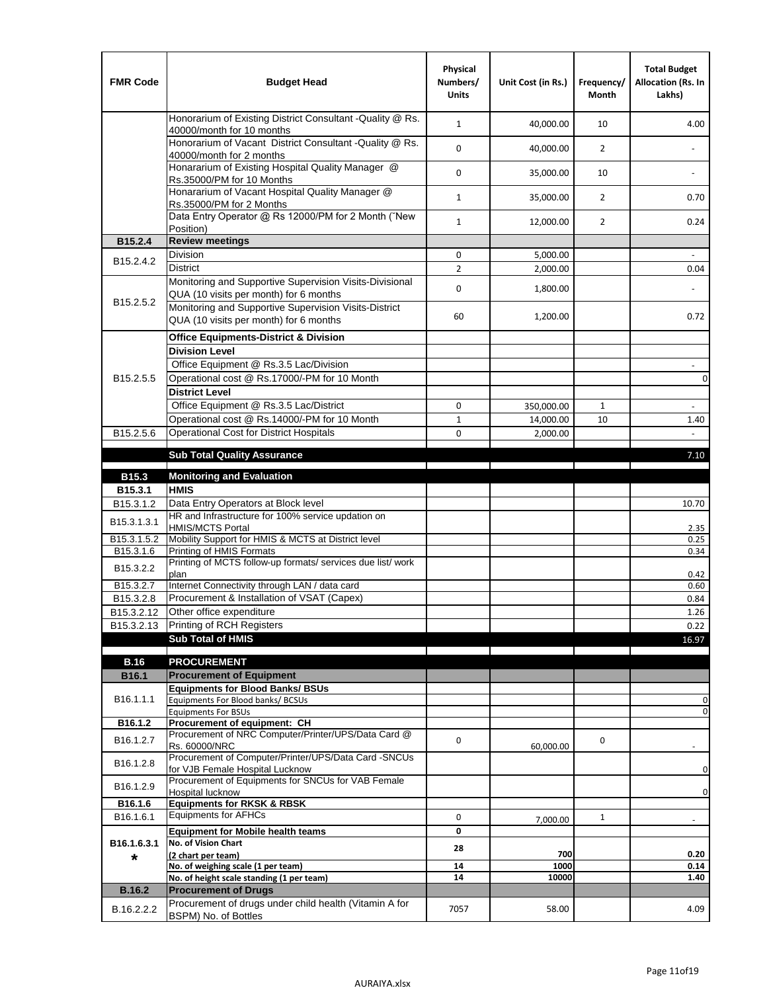| <b>FMR Code</b>         | <b>Budget Head</b>                                                                                | Physical<br>Numbers/<br><b>Units</b> | Unit Cost (in Rs.) | Frequency/<br><b>Month</b> | <b>Total Budget</b><br>Allocation (Rs. In<br>Lakhs) |
|-------------------------|---------------------------------------------------------------------------------------------------|--------------------------------------|--------------------|----------------------------|-----------------------------------------------------|
|                         | Honorarium of Existing District Consultant -Quality @ Rs.<br>40000/month for 10 months            | $\mathbf{1}$                         | 40,000.00          | 10                         | 4.00                                                |
|                         | Honorarium of Vacant District Consultant -Quality @ Rs.<br>40000/month for 2 months               | $\mathbf 0$                          | 40,000.00          | $\overline{2}$             | $\ddot{\phantom{a}}$                                |
|                         | Honararium of Existing Hospital Quality Manager @<br>Rs.35000/PM for 10 Months                    | 0                                    | 35,000.00          | 10                         |                                                     |
|                         | Honararium of Vacant Hospital Quality Manager @<br>Rs.35000/PM for 2 Months                       | $\mathbf{1}$                         | 35,000.00          | $\overline{2}$             | 0.70                                                |
|                         | Data Entry Operator @ Rs 12000/PM for 2 Month ("New<br>Position)                                  | $\mathbf{1}$                         | 12,000.00          | $\overline{2}$             | 0.24                                                |
| B15.2.4                 | <b>Review meetings</b>                                                                            |                                      |                    |                            |                                                     |
| B <sub>15.2</sub> .4.2  | Division                                                                                          | 0                                    | 5,000.00           |                            |                                                     |
|                         | <b>District</b>                                                                                   | $\overline{2}$                       | 2,000.00           |                            | 0.04                                                |
| B15.2.5.2               | Monitoring and Supportive Supervision Visits-Divisional<br>QUA (10 visits per month) for 6 months | $\mathbf 0$                          | 1,800.00           |                            |                                                     |
|                         | Monitoring and Supportive Supervision Visits-District<br>QUA (10 visits per month) for 6 months   | 60                                   | 1,200.00           |                            | 0.72                                                |
|                         | <b>Office Equipments-District &amp; Division</b>                                                  |                                      |                    |                            |                                                     |
|                         | <b>Division Level</b>                                                                             |                                      |                    |                            |                                                     |
|                         | Office Equipment @ Rs.3.5 Lac/Division                                                            |                                      |                    |                            | $\sim$                                              |
| B15.2.5.5               | Operational cost @ Rs.17000/-PM for 10 Month                                                      |                                      |                    |                            | $\pmb{0}$                                           |
|                         | <b>District Level</b>                                                                             |                                      |                    |                            |                                                     |
|                         | Office Equipment @ Rs.3.5 Lac/District                                                            | 0                                    | 350,000.00         | $\mathbf{1}$               | $\blacksquare$                                      |
|                         | Operational cost @ Rs.14000/-PM for 10 Month                                                      | $1\,$                                | 14,000.00          | 10                         | 1.40                                                |
| B15.2.5.6               | <b>Operational Cost for District Hospitals</b>                                                    | 0                                    | 2,000.00           |                            | $\mathbf{r}$                                        |
|                         | <b>Sub Total Quality Assurance</b>                                                                |                                      |                    |                            | 7.10                                                |
| B15.3                   | <b>Monitoring and Evaluation</b>                                                                  |                                      |                    |                            |                                                     |
| B15.3.1                 | <b>HMIS</b>                                                                                       |                                      |                    |                            |                                                     |
| B15.3.1.2               | Data Entry Operators at Block level                                                               |                                      |                    |                            | 10.70                                               |
| B15.3.1.3.1             | HR and Infrastructure for 100% service updation on<br><b>HMIS/MCTS Portal</b>                     |                                      |                    |                            | 2.35                                                |
| B <sub>15.3.1.5.2</sub> | Mobility Support for HMIS & MCTS at District level                                                |                                      |                    |                            | 0.25                                                |
| B15.3.1.6               | Printing of HMIS Formats                                                                          |                                      |                    |                            | 0.34                                                |
| B15.3.2.2               | Printing of MCTS follow-up formats/ services due list/ work<br>plan                               |                                      |                    |                            | 0.42                                                |
| B15.3.2.7               | Internet Connectivity through LAN / data card                                                     |                                      |                    |                            | 0.60                                                |
| B15.3.2.8               | Procurement & Installation of VSAT (Capex)                                                        |                                      |                    |                            | 0.84                                                |
| B15.3.2.12              | Other office expenditure                                                                          |                                      |                    |                            | 1.26                                                |
| B15.3.2.13              | Printing of RCH Registers                                                                         |                                      |                    |                            | 0.22                                                |
|                         | <b>Sub Total of HMIS</b>                                                                          |                                      |                    |                            | 16.97                                               |
| <b>B.16</b>             | <b>PROCUREMENT</b>                                                                                |                                      |                    |                            |                                                     |
| B16.1                   | <b>Procurement of Equipment</b>                                                                   |                                      |                    |                            |                                                     |
|                         | <b>Equipments for Blood Banks/ BSUs</b>                                                           |                                      |                    |                            |                                                     |
| B16.1.1.1               | Equipments For Blood banks/ BCSUs                                                                 |                                      |                    |                            | 0                                                   |
| B16.1.2                 | <b>Equipments For BSUs</b><br>Procurement of equipment: CH                                        |                                      |                    |                            | 0                                                   |
|                         | Procurement of NRC Computer/Printer/UPS/Data Card @                                               |                                      |                    |                            |                                                     |
| B16.1.2.7               | Rs. 60000/NRC                                                                                     | 0                                    | 60,000.00          | 0                          |                                                     |
| B16.1.2.8               | Procurement of Computer/Printer/UPS/Data Card -SNCUs                                              |                                      |                    |                            |                                                     |
|                         | for VJB Female Hospital Lucknow<br>Procurement of Equipments for SNCUs for VAB Female             |                                      |                    |                            | 0                                                   |
| B16.1.2.9               | Hospital lucknow                                                                                  |                                      |                    |                            | 0                                                   |
| B16.1.6                 | <b>Equipments for RKSK &amp; RBSK</b>                                                             |                                      |                    |                            |                                                     |
| B16.1.6.1               | <b>Equipments for AFHCs</b>                                                                       | 0                                    | 7,000.00           | $\mathbf{1}$               |                                                     |
|                         | <b>Equipment for Mobile health teams</b>                                                          | 0                                    |                    |                            |                                                     |
| B16.1.6.3.1             | No. of Vision Chart                                                                               | 28                                   | 700                |                            | 0.20                                                |
| *                       | (2 chart per team)<br>No. of weighing scale (1 per team)                                          | ${\bf 14}$                           | 1000               |                            | 0.14                                                |
|                         | No. of height scale standing (1 per team)                                                         | 14                                   | 10000              |                            | 1.40                                                |
| <b>B.16.2</b>           | <b>Procurement of Drugs</b>                                                                       |                                      |                    |                            |                                                     |
| B.16.2.2.2              | Procurement of drugs under child health (Vitamin A for<br>BSPM) No. of Bottles                    | 7057                                 | 58.00              |                            | 4.09                                                |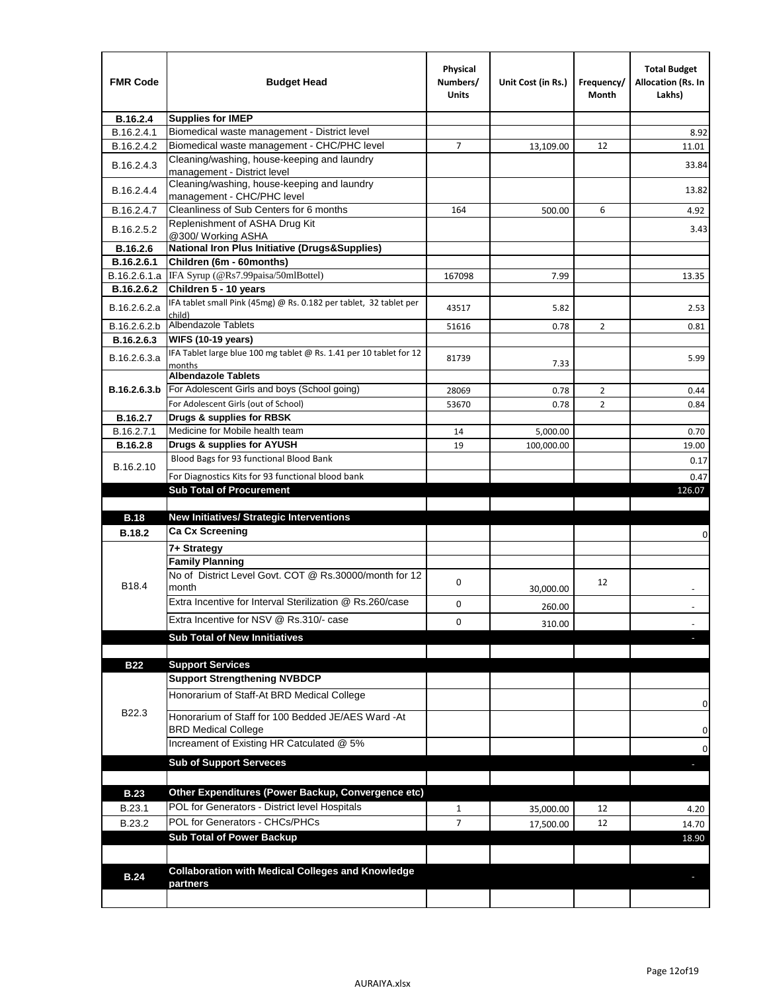| <b>FMR Code</b> | <b>Budget Head</b>                                                            | Physical<br>Numbers/<br>Units | Unit Cost (in Rs.) | Frequency/<br>Month | <b>Total Budget</b><br><b>Allocation (Rs. In</b><br>Lakhs) |
|-----------------|-------------------------------------------------------------------------------|-------------------------------|--------------------|---------------------|------------------------------------------------------------|
| B.16.2.4        | <b>Supplies for IMEP</b>                                                      |                               |                    |                     |                                                            |
| B.16.2.4.1      | Biomedical waste management - District level                                  |                               |                    |                     | 8.92                                                       |
| B.16.2.4.2      | Biomedical waste management - CHC/PHC level                                   | 7                             | 13,109.00          | 12                  | 11.01                                                      |
| B.16.2.4.3      | Cleaning/washing, house-keeping and laundry<br>management - District level    |                               |                    |                     | 33.84                                                      |
| B.16.2.4.4      | Cleaning/washing, house-keeping and laundry<br>management - CHC/PHC level     |                               |                    |                     | 13.82                                                      |
| B.16.2.4.7      | Cleanliness of Sub Centers for 6 months                                       | 164                           | 500.00             | 6                   | 4.92                                                       |
| B.16.2.5.2      | Replenishment of ASHA Drug Kit<br>@300/ Working ASHA                          |                               |                    |                     | 3.43                                                       |
| B.16.2.6        | <b>National Iron Plus Initiative (Drugs&amp;Supplies)</b>                     |                               |                    |                     |                                                            |
| B.16.2.6.1      | Children (6m - 60months)                                                      |                               |                    |                     |                                                            |
| B.16.2.6.1.a    | IFA Syrup (@Rs7.99paisa/50mlBottel)                                           | 167098                        | 7.99               |                     | 13.35                                                      |
| B.16.2.6.2      | Children 5 - 10 years                                                         |                               |                    |                     |                                                            |
| B.16.2.6.2.a    | IFA tablet small Pink (45mg) @ Rs. 0.182 per tablet, 32 tablet per<br>child)  | 43517                         | 5.82               |                     | 2.53                                                       |
| B.16.2.6.2.b    | <b>Albendazole Tablets</b>                                                    | 51616                         | 0.78               | 2                   | 0.81                                                       |
| B.16.2.6.3      | <b>WIFS (10-19 years)</b>                                                     |                               |                    |                     |                                                            |
| B.16.2.6.3.a    | IFA Tablet large blue 100 mg tablet @ Rs. 1.41 per 10 tablet for 12<br>months | 81739                         | 7.33               |                     | 5.99                                                       |
|                 | <b>Albendazole Tablets</b>                                                    |                               |                    |                     |                                                            |
| B.16.2.6.3.b    | For Adolescent Girls and boys (School going)                                  | 28069                         | 0.78               | $\overline{2}$      | 0.44                                                       |
|                 | For Adolescent Girls (out of School)                                          | 53670                         | 0.78               | $\overline{2}$      | 0.84                                                       |
| B.16.2.7        | Drugs & supplies for RBSK                                                     |                               |                    |                     |                                                            |
| B.16.2.7.1      | Medicine for Mobile health team                                               | 14                            | 5,000.00           |                     | 0.70                                                       |
| <b>B.16.2.8</b> | Drugs & supplies for AYUSH<br>Blood Bags for 93 functional Blood Bank         | 19                            | 100,000.00         |                     | 19.00                                                      |
| B.16.2.10       |                                                                               |                               |                    |                     | 0.17                                                       |
|                 | For Diagnostics Kits for 93 functional blood bank                             |                               |                    |                     | 0.47                                                       |
|                 | <b>Sub Total of Procurement</b>                                               |                               |                    |                     | 126.07                                                     |
| <b>B.18</b>     | <b>New Initiatives/ Strategic Interventions</b>                               |                               |                    |                     |                                                            |
| <b>B.18.2</b>   | <b>Ca Cx Screening</b>                                                        |                               |                    |                     |                                                            |
|                 |                                                                               |                               |                    |                     | 0                                                          |
|                 | 7+ Strategy<br><b>Family Planning</b>                                         |                               |                    |                     |                                                            |
| B18.4           | No of District Level Govt. COT @ Rs.30000/month for 12<br>month               | 0                             |                    | 12                  |                                                            |
|                 | Extra Incentive for Interval Sterilization @ Rs.260/case                      |                               | 30,000.00          |                     |                                                            |
|                 |                                                                               | 0                             | 260.00             |                     |                                                            |
|                 | Extra Incentive for NSV @ Rs.310/- case                                       | 0                             | 310.00             |                     |                                                            |
|                 | <b>Sub Total of New Innitiatives</b>                                          |                               |                    |                     |                                                            |
|                 |                                                                               |                               |                    |                     |                                                            |
| <b>B22</b>      | <b>Support Services</b><br><b>Support Strengthening NVBDCP</b>                |                               |                    |                     |                                                            |
|                 | Honorarium of Staff-At BRD Medical College                                    |                               |                    |                     |                                                            |
| B22.3           | Honorarium of Staff for 100 Bedded JE/AES Ward -At                            |                               |                    |                     | 0                                                          |
|                 | <b>BRD Medical College</b><br>Increament of Existing HR Catculated @ 5%       |                               |                    |                     | 0                                                          |
|                 |                                                                               |                               |                    |                     | 0                                                          |
|                 | <b>Sub of Support Serveces</b>                                                |                               |                    |                     |                                                            |
|                 |                                                                               |                               |                    |                     |                                                            |
| <b>B.23</b>     | Other Expenditures (Power Backup, Convergence etc)                            |                               |                    |                     |                                                            |
| B.23.1          | POL for Generators - District level Hospitals                                 | $\mathbf{1}$                  | 35,000.00          | 12                  | 4.20                                                       |
| B.23.2          | POL for Generators - CHCs/PHCs                                                | $\overline{7}$                | 17,500.00          | 12                  | 14.70                                                      |
|                 | <b>Sub Total of Power Backup</b>                                              |                               |                    |                     | 18.90                                                      |
|                 |                                                                               |                               |                    |                     |                                                            |
| <b>B.24</b>     | <b>Collaboration with Medical Colleges and Knowledge</b>                      |                               |                    |                     |                                                            |
|                 | partners                                                                      |                               |                    |                     |                                                            |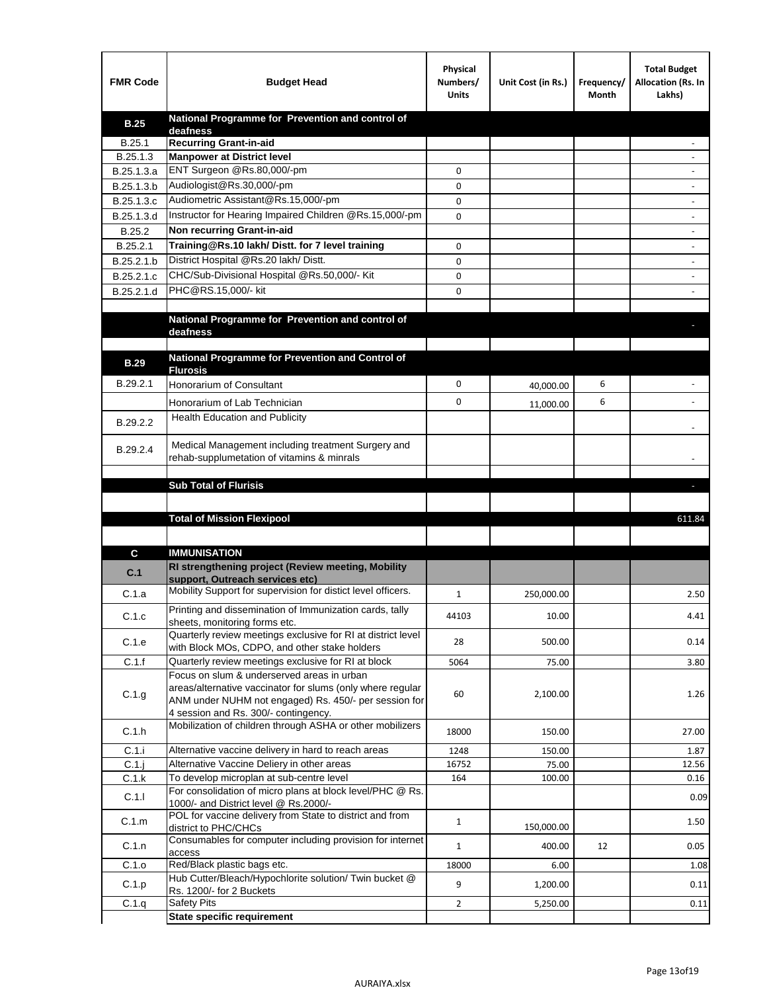| <b>FMR Code</b> | <b>Budget Head</b>                                                                                   | Physical<br>Numbers/<br><b>Units</b> | Unit Cost (in Rs.) | Frequency/<br>Month | <b>Total Budget</b><br>Allocation (Rs. In<br>Lakhs) |
|-----------------|------------------------------------------------------------------------------------------------------|--------------------------------------|--------------------|---------------------|-----------------------------------------------------|
| <b>B.25</b>     | National Programme for Prevention and control of                                                     |                                      |                    |                     |                                                     |
| B.25.1          | deafness<br><b>Recurring Grant-in-aid</b>                                                            |                                      |                    |                     |                                                     |
| B.25.1.3        | <b>Manpower at District level</b>                                                                    |                                      |                    |                     |                                                     |
| B.25.1.3.a      | ENT Surgeon @Rs.80,000/-pm                                                                           | 0                                    |                    |                     |                                                     |
| B.25.1.3.b      | Audiologist@Rs.30,000/-pm                                                                            | 0                                    |                    |                     |                                                     |
| B.25.1.3.c      | Audiometric Assistant@Rs.15,000/-pm                                                                  | 0                                    |                    |                     |                                                     |
| B.25.1.3.d      | Instructor for Hearing Impaired Children @Rs.15,000/-pm                                              | 0                                    |                    |                     |                                                     |
| B.25.2          | Non recurring Grant-in-aid                                                                           |                                      |                    |                     |                                                     |
| B.25.2.1        | Training@Rs.10 lakh/ Distt. for 7 level training                                                     | 0                                    |                    |                     |                                                     |
| B.25.2.1.b      | District Hospital @Rs.20 lakh/Distt.                                                                 | 0                                    |                    |                     |                                                     |
| B.25.2.1.c      | CHC/Sub-Divisional Hospital @Rs.50,000/- Kit                                                         | 0                                    |                    |                     |                                                     |
| B.25.2.1.d      | PHC@RS.15,000/- kit                                                                                  | 0                                    |                    |                     |                                                     |
|                 |                                                                                                      |                                      |                    |                     |                                                     |
|                 | National Programme for Prevention and control of                                                     |                                      |                    |                     |                                                     |
|                 | deafness                                                                                             |                                      |                    |                     |                                                     |
|                 | National Programme for Prevention and Control of                                                     |                                      |                    |                     |                                                     |
| <b>B.29</b>     | <b>Flurosis</b>                                                                                      |                                      |                    |                     |                                                     |
| B.29.2.1        | Honorarium of Consultant                                                                             | 0                                    | 40,000.00          | 6                   |                                                     |
|                 | Honorarium of Lab Technician                                                                         | 0                                    | 11,000.00          | 6                   |                                                     |
| B.29.2.2        | Health Education and Publicity                                                                       |                                      |                    |                     |                                                     |
|                 |                                                                                                      |                                      |                    |                     |                                                     |
| B.29.2.4        | Medical Management including treatment Surgery and                                                   |                                      |                    |                     |                                                     |
|                 | rehab-supplumetation of vitamins & minrals                                                           |                                      |                    |                     |                                                     |
|                 | <b>Sub Total of Flurisis</b>                                                                         |                                      |                    |                     | ь                                                   |
|                 |                                                                                                      |                                      |                    |                     |                                                     |
|                 | <b>Total of Mission Flexipool</b>                                                                    |                                      |                    |                     | 611.84                                              |
|                 |                                                                                                      |                                      |                    |                     |                                                     |
| C               | <b>IMMUNISATION</b>                                                                                  |                                      |                    |                     |                                                     |
|                 | RI strengthening project (Review meeting, Mobility                                                   |                                      |                    |                     |                                                     |
| C.1             | support, Outreach services etc)                                                                      |                                      |                    |                     |                                                     |
| C.1.a           | Mobility Support for supervision for distict level officers.                                         | 1                                    | 250,000.00         |                     | 2.50                                                |
|                 | Printing and dissemination of Immunization cards, tally                                              |                                      |                    |                     |                                                     |
| C.1.c           | sheets, monitoring forms etc.                                                                        | 44103                                | 10.00              |                     | 4.41                                                |
| C.1.e           | Quarterly review meetings exclusive for RI at district level                                         | 28                                   | 500.00             |                     | 0.14                                                |
| C.1.f           | with Block MOs, CDPO, and other stake holders<br>Quarterly review meetings exclusive for RI at block | 5064                                 | 75.00              |                     | 3.80                                                |
|                 | Focus on slum & underserved areas in urban                                                           |                                      |                    |                     |                                                     |
|                 | areas/alternative vaccinator for slums (only where regular                                           | 60                                   | 2,100.00           |                     |                                                     |
| C.1.g           | ANM under NUHM not engaged) Rs. 450/- per session for                                                |                                      |                    |                     | 1.26                                                |
|                 | 4 session and Rs. 300/- contingency.                                                                 |                                      |                    |                     |                                                     |
| C.1.h           | Mobilization of children through ASHA or other mobilizers                                            | 18000                                | 150.00             |                     | 27.00                                               |
| C.1.i           | Alternative vaccine delivery in hard to reach areas                                                  | 1248                                 | 150.00             |                     | 1.87                                                |
| $C.1$ .j        | Alternative Vaccine Deliery in other areas                                                           | 16752                                | 75.00              |                     | 12.56                                               |
| C.1.k           | To develop microplan at sub-centre level                                                             | 164                                  | 100.00             |                     | 0.16                                                |
| C.1.1           | For consolidation of micro plans at block level/PHC @ Rs.                                            |                                      |                    |                     | 0.09                                                |
|                 | 1000/- and District level @ Rs.2000/-<br>POL for vaccine delivery from State to district and from    |                                      |                    |                     |                                                     |
| C.1.m           | district to PHC/CHCs                                                                                 | $\mathbf{1}$                         | 150,000.00         |                     | 1.50                                                |
| C.1.n           | Consumables for computer including provision for internet                                            | $\mathbf{1}$                         | 400.00             | 12                  | 0.05                                                |
|                 | access                                                                                               |                                      |                    |                     |                                                     |
| C.1.o           | Red/Black plastic bags etc.<br>Hub Cutter/Bleach/Hypochlorite solution/ Twin bucket @                | 18000                                | 6.00               |                     | 1.08                                                |
| C.1.p           | Rs. 1200/- for 2 Buckets                                                                             | 9                                    | 1,200.00           |                     | 0.11                                                |
| C.1.q           | <b>Safety Pits</b>                                                                                   | $\overline{2}$                       | 5,250.00           |                     | 0.11                                                |
|                 | <b>State specific requirement</b>                                                                    |                                      |                    |                     |                                                     |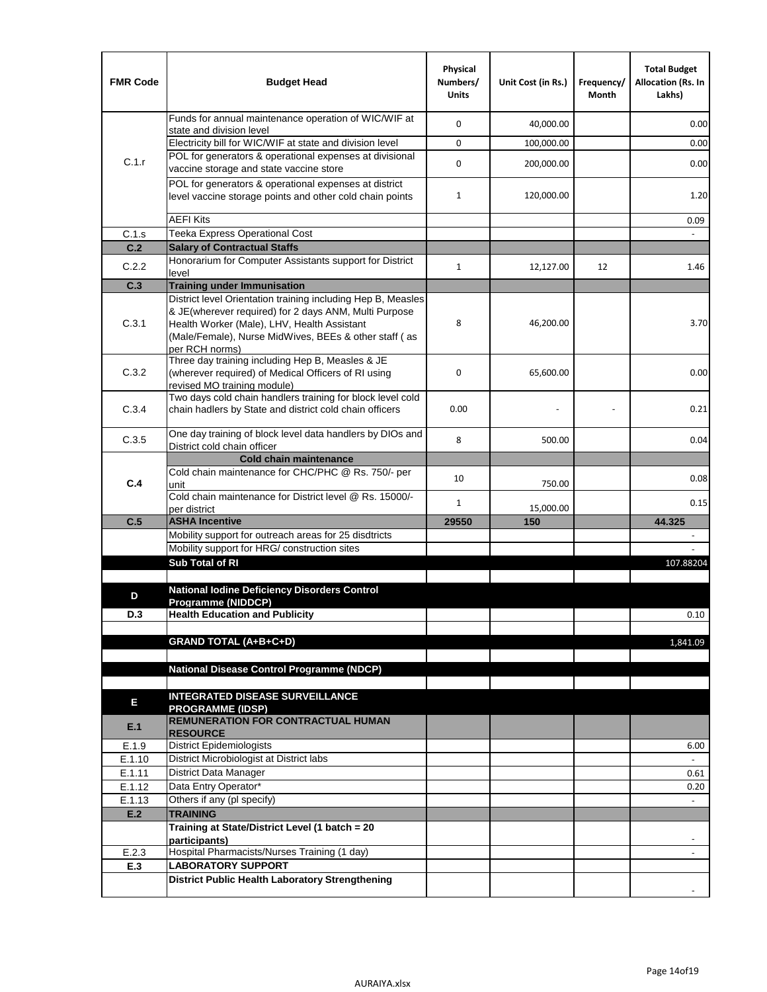| <b>FMR Code</b> | <b>Budget Head</b>                                                                                                                                                              | Physical<br>Numbers/<br><b>Units</b> | Unit Cost (in Rs.) | Frequency/<br>Month | <b>Total Budget</b><br>Allocation (Rs. In<br>Lakhs) |
|-----------------|---------------------------------------------------------------------------------------------------------------------------------------------------------------------------------|--------------------------------------|--------------------|---------------------|-----------------------------------------------------|
|                 | Funds for annual maintenance operation of WIC/WIF at<br>state and division level                                                                                                | 0                                    | 40,000.00          |                     | 0.00                                                |
|                 | Electricity bill for WIC/WIF at state and division level                                                                                                                        | 0                                    | 100,000.00         |                     | 0.00                                                |
| C.1.r           | POL for generators & operational expenses at divisional<br>vaccine storage and state vaccine store                                                                              | 0                                    | 200,000.00         |                     | 0.00                                                |
|                 | POL for generators & operational expenses at district<br>level vaccine storage points and other cold chain points                                                               | $\mathbf{1}$                         | 120,000.00         |                     | 1.20                                                |
|                 | <b>AEFI Kits</b>                                                                                                                                                                |                                      |                    |                     | 0.09                                                |
| C.1.s           | Teeka Express Operational Cost                                                                                                                                                  |                                      |                    |                     |                                                     |
| C.2             | <b>Salary of Contractual Staffs</b>                                                                                                                                             |                                      |                    |                     |                                                     |
| C.2.2           | Honorarium for Computer Assistants support for District<br>level                                                                                                                | $\mathbf{1}$                         | 12,127.00          | 12                  | 1.46                                                |
| C.3             | <b>Training under Immunisation</b>                                                                                                                                              |                                      |                    |                     |                                                     |
|                 | District level Orientation training including Hep B, Measles                                                                                                                    |                                      |                    |                     |                                                     |
| C.3.1           | & JE(wherever required) for 2 days ANM, Multi Purpose<br>Health Worker (Male), LHV, Health Assistant<br>(Male/Female), Nurse MidWives, BEEs & other staff (as<br>per RCH norms) | 8                                    | 46,200.00          |                     | 3.70                                                |
| C.3.2           | Three day training including Hep B, Measles & JE<br>(wherever required) of Medical Officers of RI using<br>revised MO training module)                                          | 0                                    | 65,600.00          |                     | 0.00                                                |
| C.3.4           | Two days cold chain handlers training for block level cold<br>chain hadlers by State and district cold chain officers                                                           | 0.00                                 |                    |                     | 0.21                                                |
| C.3.5           | One day training of block level data handlers by DIOs and<br>District cold chain officer                                                                                        | 8                                    | 500.00             |                     | 0.04                                                |
|                 | <b>Cold chain maintenance</b>                                                                                                                                                   |                                      |                    |                     |                                                     |
| C.4             | Cold chain maintenance for CHC/PHC @ Rs. 750/- per<br>unit                                                                                                                      | 10                                   | 750.00             |                     | 0.08                                                |
|                 | Cold chain maintenance for District level @ Rs. 15000/-<br>per district                                                                                                         | $\mathbf{1}$                         | 15,000.00          |                     | 0.15                                                |
| C.5             | <b>ASHA Incentive</b>                                                                                                                                                           | 29550                                | 150                |                     | 44.325                                              |
|                 | Mobility support for outreach areas for 25 disdtricts                                                                                                                           |                                      |                    |                     |                                                     |
|                 | Mobility support for HRG/ construction sites                                                                                                                                    |                                      |                    |                     |                                                     |
|                 | Sub Total of RI                                                                                                                                                                 |                                      |                    |                     | 107.88204                                           |
| D               | National Iodine Deficiency Disorders Control                                                                                                                                    |                                      |                    |                     |                                                     |
| D.3             | Programme (NIDDCP)<br><b>Health Education and Publicity</b>                                                                                                                     |                                      |                    |                     | 0.10                                                |
|                 |                                                                                                                                                                                 |                                      |                    |                     |                                                     |
|                 | <b>GRAND TOTAL (A+B+C+D)</b>                                                                                                                                                    |                                      |                    |                     | 1,841.09                                            |
|                 | <b>National Disease Control Programme (NDCP)</b>                                                                                                                                |                                      |                    |                     |                                                     |
|                 |                                                                                                                                                                                 |                                      |                    |                     |                                                     |
| Е               | <b>INTEGRATED DISEASE SURVEILLANCE</b>                                                                                                                                          |                                      |                    |                     |                                                     |
| E.1             | <b>PROGRAMME (IDSP)</b><br><b>REMUNERATION FOR CONTRACTUAL HUMAN</b><br><b>RESOURCE</b>                                                                                         |                                      |                    |                     |                                                     |
| E.1.9           | District Epidemiologists                                                                                                                                                        |                                      |                    |                     | 6.00                                                |
| E.1.10          | District Microbiologist at District labs                                                                                                                                        |                                      |                    |                     |                                                     |
| E.1.11          | District Data Manager                                                                                                                                                           |                                      |                    |                     | 0.61                                                |
| E.1.12          | Data Entry Operator*                                                                                                                                                            |                                      |                    |                     | 0.20                                                |
| E.1.13          | Others if any (pl specify)                                                                                                                                                      |                                      |                    |                     | $\omega$                                            |
| E.2             | <b>TRAINING</b>                                                                                                                                                                 |                                      |                    |                     |                                                     |
|                 | Training at State/District Level (1 batch = 20<br>participants)                                                                                                                 |                                      |                    |                     |                                                     |
| E.2.3           | Hospital Pharmacists/Nurses Training (1 day)                                                                                                                                    |                                      |                    |                     |                                                     |
| E.3             | <b>LABORATORY SUPPORT</b>                                                                                                                                                       |                                      |                    |                     |                                                     |
|                 | <b>District Public Health Laboratory Strengthening</b>                                                                                                                          |                                      |                    |                     |                                                     |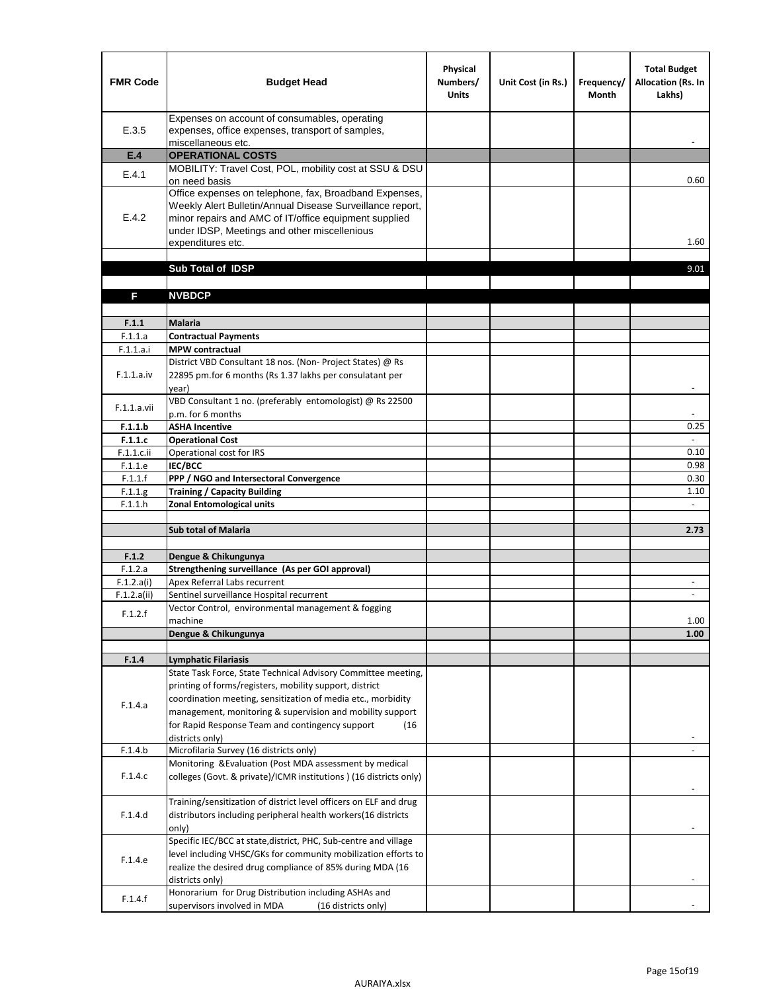| <b>FMR Code</b>    | <b>Budget Head</b>                                                                                                                                                                                                                                | Physical<br>Numbers/<br><b>Units</b> | Unit Cost (in Rs.) | Frequency/<br><b>Month</b> | <b>Total Budget</b><br><b>Allocation (Rs. In</b><br>Lakhs) |
|--------------------|---------------------------------------------------------------------------------------------------------------------------------------------------------------------------------------------------------------------------------------------------|--------------------------------------|--------------------|----------------------------|------------------------------------------------------------|
| E.3.5              | Expenses on account of consumables, operating<br>expenses, office expenses, transport of samples,<br>miscellaneous etc.                                                                                                                           |                                      |                    |                            |                                                            |
| E.4                | <b>OPERATIONAL COSTS</b>                                                                                                                                                                                                                          |                                      |                    |                            |                                                            |
| E.4.1              | MOBILITY: Travel Cost, POL, mobility cost at SSU & DSU                                                                                                                                                                                            |                                      |                    |                            |                                                            |
|                    | on need basis                                                                                                                                                                                                                                     |                                      |                    |                            | 0.60                                                       |
| E.4.2              | Office expenses on telephone, fax, Broadband Expenses,<br>Weekly Alert Bulletin/Annual Disease Surveillance report,<br>minor repairs and AMC of IT/office equipment supplied<br>under IDSP, Meetings and other miscellenious<br>expenditures etc. |                                      |                    |                            | 1.60                                                       |
|                    | Sub Total of IDSP                                                                                                                                                                                                                                 |                                      |                    |                            | 9.01                                                       |
|                    |                                                                                                                                                                                                                                                   |                                      |                    |                            |                                                            |
| F                  | <b>NVBDCP</b>                                                                                                                                                                                                                                     |                                      |                    |                            |                                                            |
|                    |                                                                                                                                                                                                                                                   |                                      |                    |                            |                                                            |
| F.1.1              | <b>Malaria</b>                                                                                                                                                                                                                                    |                                      |                    |                            |                                                            |
| F.1.1.a            | <b>Contractual Payments</b>                                                                                                                                                                                                                       |                                      |                    |                            |                                                            |
| F.1.1.a.i          | <b>MPW</b> contractual<br>District VBD Consultant 18 nos. (Non-Project States) @ Rs                                                                                                                                                               |                                      |                    |                            |                                                            |
| F.1.1.a.iv         | 22895 pm.for 6 months (Rs 1.37 lakhs per consulatant per<br>year)                                                                                                                                                                                 |                                      |                    |                            | $\overline{\phantom{a}}$                                   |
|                    | VBD Consultant 1 no. (preferably entomologist) @ Rs 22500                                                                                                                                                                                         |                                      |                    |                            |                                                            |
| F.1.1.a.vii        | p.m. for 6 months                                                                                                                                                                                                                                 |                                      |                    |                            |                                                            |
| F.1.1.b            | <b>ASHA Incentive</b>                                                                                                                                                                                                                             |                                      |                    |                            | 0.25                                                       |
| F.1.1.c            | <b>Operational Cost</b>                                                                                                                                                                                                                           |                                      |                    |                            |                                                            |
| $F.1.1.c.$ ii      | Operational cost for IRS                                                                                                                                                                                                                          |                                      |                    |                            | 0.10                                                       |
| F.1.1.e<br>F.1.1.f | <b>IEC/BCC</b><br>PPP / NGO and Intersectoral Convergence                                                                                                                                                                                         |                                      |                    |                            | 0.98<br>0.30                                               |
| F.1.1.g            | <b>Training / Capacity Building</b>                                                                                                                                                                                                               |                                      |                    |                            | 1.10                                                       |
| F.1.1.h            | <b>Zonal Entomological units</b>                                                                                                                                                                                                                  |                                      |                    |                            |                                                            |
|                    |                                                                                                                                                                                                                                                   |                                      |                    |                            |                                                            |
|                    | <b>Sub total of Malaria</b>                                                                                                                                                                                                                       |                                      |                    |                            | 2.73                                                       |
|                    |                                                                                                                                                                                                                                                   |                                      |                    |                            |                                                            |
| F.1.2              | Dengue & Chikungunya                                                                                                                                                                                                                              |                                      |                    |                            |                                                            |
| F.1.2.a            | Strengthening surveillance (As per GOI approval)                                                                                                                                                                                                  |                                      |                    |                            |                                                            |
| F.1.2.a(i)         | Apex Referral Labs recurrent<br>Sentinel surveillance Hospital recurrent                                                                                                                                                                          |                                      |                    |                            | $\sim$                                                     |
| F.1.2.a(ii)        | Vector Control, environmental management & fogging                                                                                                                                                                                                |                                      |                    |                            |                                                            |
| F.1.2.f            | machine                                                                                                                                                                                                                                           |                                      |                    |                            | 1.00                                                       |
|                    | Dengue & Chikungunya                                                                                                                                                                                                                              |                                      |                    |                            | 1.00                                                       |
|                    |                                                                                                                                                                                                                                                   |                                      |                    |                            |                                                            |
| F.1.4              | <b>Lymphatic Filariasis</b>                                                                                                                                                                                                                       |                                      |                    |                            |                                                            |
|                    | State Task Force, State Technical Advisory Committee meeting,                                                                                                                                                                                     |                                      |                    |                            |                                                            |
|                    | printing of forms/registers, mobility support, district<br>coordination meeting, sensitization of media etc., morbidity                                                                                                                           |                                      |                    |                            |                                                            |
| F.1.4.a            | management, monitoring & supervision and mobility support                                                                                                                                                                                         |                                      |                    |                            |                                                            |
|                    | for Rapid Response Team and contingency support<br>(16)                                                                                                                                                                                           |                                      |                    |                            |                                                            |
|                    | districts only)                                                                                                                                                                                                                                   |                                      |                    |                            |                                                            |
| F.1.4.b            | Microfilaria Survey (16 districts only)                                                                                                                                                                                                           |                                      |                    |                            |                                                            |
|                    | Monitoring & Evaluation (Post MDA assessment by medical                                                                                                                                                                                           |                                      |                    |                            |                                                            |
| F.1.4.c            | colleges (Govt. & private)/ICMR institutions ) (16 districts only)                                                                                                                                                                                |                                      |                    |                            |                                                            |
|                    | Training/sensitization of district level officers on ELF and drug                                                                                                                                                                                 |                                      |                    |                            |                                                            |
| F.1.4.d            | distributors including peripheral health workers(16 districts                                                                                                                                                                                     |                                      |                    |                            |                                                            |
|                    | only)                                                                                                                                                                                                                                             |                                      |                    |                            |                                                            |
|                    | Specific IEC/BCC at state, district, PHC, Sub-centre and village                                                                                                                                                                                  |                                      |                    |                            |                                                            |
| F.1.4.e            | level including VHSC/GKs for community mobilization efforts to<br>realize the desired drug compliance of 85% during MDA (16                                                                                                                       |                                      |                    |                            |                                                            |
|                    | districts only)                                                                                                                                                                                                                                   |                                      |                    |                            |                                                            |
|                    | Honorarium for Drug Distribution including ASHAs and                                                                                                                                                                                              |                                      |                    |                            |                                                            |
| F.1.4.f            | supervisors involved in MDA<br>(16 districts only)                                                                                                                                                                                                |                                      |                    |                            |                                                            |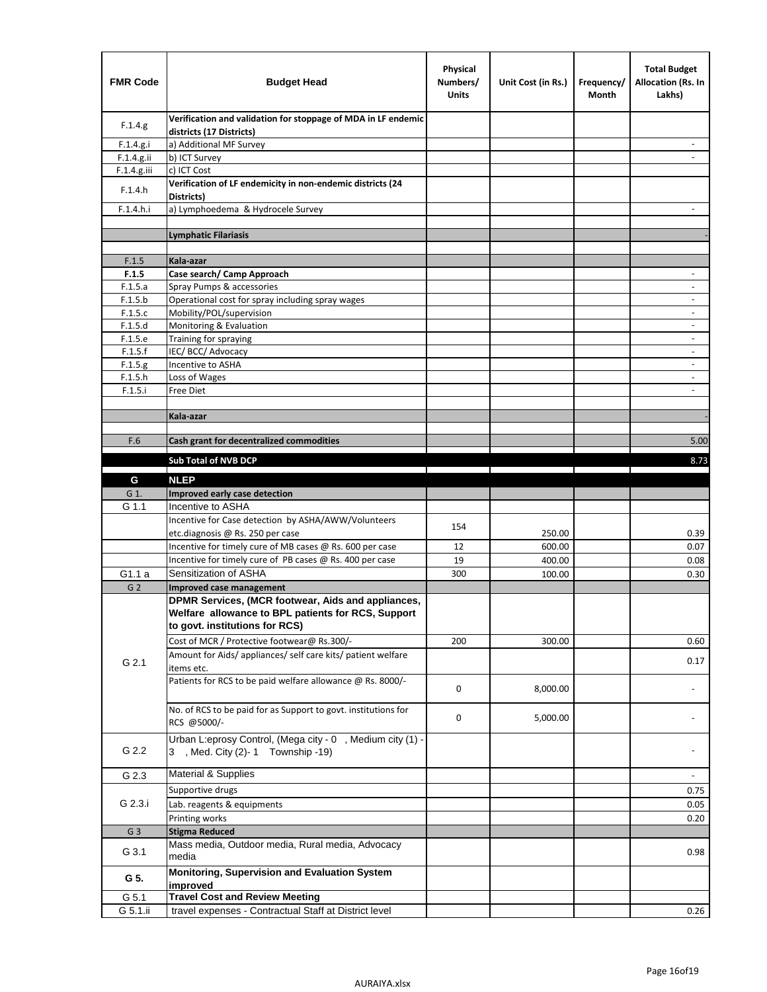| <b>FMR Code</b>    | <b>Budget Head</b>                                                                             | Physical<br>Numbers/<br><b>Units</b> | Unit Cost (in Rs.) | Frequency/<br>Month | <b>Total Budget</b><br><b>Allocation (Rs. In</b><br>Lakhs) |
|--------------------|------------------------------------------------------------------------------------------------|--------------------------------------|--------------------|---------------------|------------------------------------------------------------|
| F.1.4.g.           | Verification and validation for stoppage of MDA in LF endemic<br>districts (17 Districts)      |                                      |                    |                     |                                                            |
| F.1.4.g.i          | a) Additional MF Survey                                                                        |                                      |                    |                     |                                                            |
| F.1.4.g.ii         | b) ICT Survey                                                                                  |                                      |                    |                     |                                                            |
| $F.1.4.g.$ iii     | c) ICT Cost                                                                                    |                                      |                    |                     |                                                            |
| F.1.4.h            | Verification of LF endemicity in non-endemic districts (24<br>Districts)                       |                                      |                    |                     |                                                            |
| F.1.4.h.i          | a) Lymphoedema & Hydrocele Survey                                                              |                                      |                    |                     |                                                            |
|                    | <b>Lymphatic Filariasis</b>                                                                    |                                      |                    |                     |                                                            |
|                    |                                                                                                |                                      |                    |                     |                                                            |
| F.1.5              | Kala-azar                                                                                      |                                      |                    |                     |                                                            |
| F.1.5              | Case search/ Camp Approach                                                                     |                                      |                    |                     | $\overline{\phantom{a}}$                                   |
| F.1.5.a            | Spray Pumps & accessories                                                                      |                                      |                    |                     |                                                            |
| F.1.5.b            | Operational cost for spray including spray wages                                               |                                      |                    |                     |                                                            |
| F.1.5.c            | Mobility/POL/supervision                                                                       |                                      |                    |                     | $\overline{\phantom{a}}$                                   |
| F.1.5.d            | Monitoring & Evaluation                                                                        |                                      |                    |                     |                                                            |
| F.1.5.e            | Training for spraying                                                                          |                                      |                    |                     | $\overline{\phantom{a}}$                                   |
| F.1.5.f            | IEC/BCC/Advocacy<br>Incentive to ASHA                                                          |                                      |                    |                     | $\overline{\phantom{a}}$                                   |
| F.1.5.g<br>F.1.5.h | Loss of Wages                                                                                  |                                      |                    |                     | $\overline{\phantom{a}}$                                   |
| F.1.5.i            | Free Diet                                                                                      |                                      |                    |                     |                                                            |
|                    |                                                                                                |                                      |                    |                     |                                                            |
|                    | Kala-azar                                                                                      |                                      |                    |                     |                                                            |
|                    |                                                                                                |                                      |                    |                     |                                                            |
| F.6                | Cash grant for decentralized commodities                                                       |                                      |                    |                     | 5.00                                                       |
|                    | <b>Sub Total of NVB DCP</b>                                                                    |                                      |                    |                     | 8.73                                                       |
|                    |                                                                                                |                                      |                    |                     |                                                            |
| G                  | <b>NLEP</b>                                                                                    |                                      |                    |                     |                                                            |
| G 1.               | Improved early case detection                                                                  |                                      |                    |                     |                                                            |
| G 1.1              | Incentive to ASHA                                                                              |                                      |                    |                     |                                                            |
|                    | Incentive for Case detection by ASHA/AWW/Volunteers                                            | 154                                  |                    |                     |                                                            |
|                    | etc.diagnosis @ Rs. 250 per case<br>Incentive for timely cure of MB cases @ Rs. 600 per case   | 12                                   | 250.00<br>600.00   |                     | 0.39<br>0.07                                               |
|                    | Incentive for timely cure of PB cases @ Rs. 400 per case                                       | 19                                   | 400.00             |                     | 0.08                                                       |
| G1.1 a             | Sensitization of ASHA                                                                          | 300                                  | 100.00             |                     | 0.30                                                       |
| G <sub>2</sub>     | Improved case management                                                                       |                                      |                    |                     |                                                            |
|                    | DPMR Services, (MCR footwear, Aids and appliances,                                             |                                      |                    |                     |                                                            |
|                    | Welfare allowance to BPL patients for RCS, Support                                             |                                      |                    |                     |                                                            |
|                    | to govt. institutions for RCS)                                                                 |                                      |                    |                     |                                                            |
|                    | Cost of MCR / Protective footwear@ Rs.300/-                                                    | 200                                  | 300.00             |                     | 0.60                                                       |
|                    | Amount for Aids/ appliances/ self care kits/ patient welfare                                   |                                      |                    |                     |                                                            |
| G 2.1              | items etc.                                                                                     |                                      |                    |                     | 0.17                                                       |
|                    | Patients for RCS to be paid welfare allowance @ Rs. 8000/-                                     | 0                                    | 8,000.00           |                     |                                                            |
|                    |                                                                                                |                                      |                    |                     |                                                            |
|                    | No. of RCS to be paid for as Support to govt. institutions for                                 | 0                                    | 5,000.00           |                     |                                                            |
|                    | RCS @5000/-                                                                                    |                                      |                    |                     |                                                            |
| G 2.2              | Urban L:eprosy Control, (Mega city - 0, Medium city (1) -<br>3 , Med. City (2)-1 Township -19) |                                      |                    |                     |                                                            |
| G 2.3              | <b>Material &amp; Supplies</b>                                                                 |                                      |                    |                     | $\overline{\phantom{a}}$                                   |
|                    |                                                                                                |                                      |                    |                     |                                                            |
| G 2.3.i            | Supportive drugs                                                                               |                                      |                    |                     | 0.75                                                       |
|                    | Lab. reagents & equipments                                                                     |                                      |                    |                     | 0.05                                                       |
|                    | Printing works                                                                                 |                                      |                    |                     | 0.20                                                       |
| G <sub>3</sub>     | <b>Stigma Reduced</b><br>Mass media, Outdoor media, Rural media, Advocacy                      |                                      |                    |                     |                                                            |
| G 3.1              | media                                                                                          |                                      |                    |                     | 0.98                                                       |
| G 5.               | Monitoring, Supervision and Evaluation System<br>improved                                      |                                      |                    |                     |                                                            |
| G 5.1              | <b>Travel Cost and Review Meeting</b>                                                          |                                      |                    |                     |                                                            |
| G 5.1.ii           | travel expenses - Contractual Staff at District level                                          |                                      |                    |                     | 0.26                                                       |
|                    |                                                                                                |                                      |                    |                     |                                                            |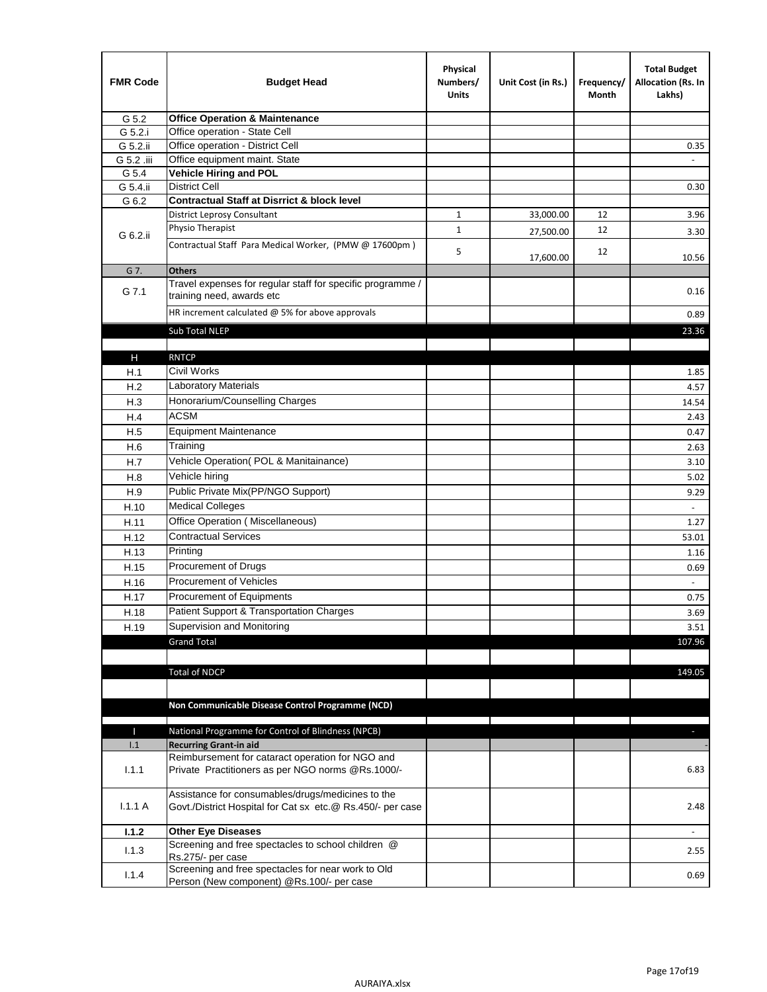| <b>FMR Code</b> | <b>Budget Head</b>                                                                                              | Physical<br>Numbers/<br><b>Units</b> | Unit Cost (in Rs.) | Frequency/<br>Month | <b>Total Budget</b><br>Allocation (Rs. In<br>Lakhs) |
|-----------------|-----------------------------------------------------------------------------------------------------------------|--------------------------------------|--------------------|---------------------|-----------------------------------------------------|
| G 5.2           | <b>Office Operation &amp; Maintenance</b>                                                                       |                                      |                    |                     |                                                     |
| G 5.2.i         | Office operation - State Cell                                                                                   |                                      |                    |                     |                                                     |
| G 5.2.ii        | Office operation - District Cell                                                                                |                                      |                    |                     | 0.35                                                |
| G 5.2 .iii      | Office equipment maint. State                                                                                   |                                      |                    |                     |                                                     |
| G 5.4           | Vehicle Hiring and POL                                                                                          |                                      |                    |                     |                                                     |
| G 5.4.ii        | <b>District Cell</b>                                                                                            |                                      |                    |                     | 0.30                                                |
| G 6.2           | <b>Contractual Staff at Disrrict &amp; block level</b>                                                          |                                      |                    |                     |                                                     |
|                 | <b>District Leprosy Consultant</b>                                                                              | 1                                    | 33,000.00          | 12                  | 3.96                                                |
| G 6.2.ii        | Physio Therapist                                                                                                | $\mathbf{1}$                         | 27,500.00          | 12                  | 3.30                                                |
|                 | Contractual Staff Para Medical Worker, (PMW @ 17600pm)                                                          | 5                                    | 17,600.00          | 12                  | 10.56                                               |
| G 7.            | <b>Others</b>                                                                                                   |                                      |                    |                     |                                                     |
| G 7.1           | Travel expenses for regular staff for specific programme /<br>training need, awards etc                         |                                      |                    |                     | 0.16                                                |
|                 | HR increment calculated $\omega$ 5% for above approvals                                                         |                                      |                    |                     | 0.89                                                |
|                 | Sub Total NLEP                                                                                                  |                                      |                    |                     | 23.36                                               |
|                 |                                                                                                                 |                                      |                    |                     |                                                     |
| Н               | <b>RNTCP</b>                                                                                                    |                                      |                    |                     |                                                     |
| H.1             | <b>Civil Works</b>                                                                                              |                                      |                    |                     | 1.85                                                |
| H.2             | Laboratory Materials                                                                                            |                                      |                    |                     | 4.57                                                |
| H.3             | Honorarium/Counselling Charges                                                                                  |                                      |                    |                     | 14.54                                               |
| H.4             | <b>ACSM</b>                                                                                                     |                                      |                    |                     | 2.43                                                |
| H.5             | <b>Equipment Maintenance</b>                                                                                    |                                      |                    |                     | 0.47                                                |
| H.6             | Training                                                                                                        |                                      |                    |                     | 2.63                                                |
| H.7             | Vehicle Operation(POL & Manitainance)                                                                           |                                      |                    |                     | 3.10                                                |
| H.8             | Vehicle hiring                                                                                                  |                                      |                    |                     | 5.02                                                |
| H.9             | Public Private Mix(PP/NGO Support)                                                                              |                                      |                    |                     | 9.29                                                |
| H.10            | <b>Medical Colleges</b>                                                                                         |                                      |                    |                     | $\blacksquare$                                      |
| H.11            | Office Operation (Miscellaneous)                                                                                |                                      |                    |                     | 1.27                                                |
| H.12            | <b>Contractual Services</b>                                                                                     |                                      |                    |                     | 53.01                                               |
| H.13            | Printing                                                                                                        |                                      |                    |                     | 1.16                                                |
| H.15            | Procurement of Drugs                                                                                            |                                      |                    |                     | 0.69                                                |
| H.16            | Procurement of Vehicles                                                                                         |                                      |                    |                     | $\omega$                                            |
| H.17            | Procurement of Equipments                                                                                       |                                      |                    |                     | 0.75                                                |
| H.18            | Patient Support & Transportation Charges                                                                        |                                      |                    |                     | 3.69                                                |
| H.19            | Supervision and Monitoring                                                                                      |                                      |                    |                     | 3.51                                                |
|                 | <b>Grand Total</b>                                                                                              |                                      |                    |                     | 107.96                                              |
|                 |                                                                                                                 |                                      |                    |                     |                                                     |
|                 | <b>Total of NDCP</b>                                                                                            |                                      |                    |                     | 149.05                                              |
|                 | Non Communicable Disease Control Programme (NCD)                                                                |                                      |                    |                     |                                                     |
|                 |                                                                                                                 |                                      |                    |                     |                                                     |
| Т<br>1.1        | National Programme for Control of Blindness (NPCB)<br><b>Recurring Grant-in aid</b>                             |                                      |                    |                     | ÷.                                                  |
|                 | Reimbursement for cataract operation for NGO and                                                                |                                      |                    |                     |                                                     |
| 1.1.1           | Private Practitioners as per NGO norms @Rs.1000/-                                                               |                                      |                    |                     | 6.83                                                |
| 1.1.1A          | Assistance for consumables/drugs/medicines to the<br>Govt./District Hospital for Cat sx etc.@ Rs.450/- per case |                                      |                    |                     | 2.48                                                |
| 1.1.2           | <b>Other Eye Diseases</b>                                                                                       |                                      |                    |                     |                                                     |
| 1.1.3           | Screening and free spectacles to school children @                                                              |                                      |                    |                     | 2.55                                                |
|                 | Rs.275/- per case                                                                                               |                                      |                    |                     |                                                     |
| 1.1.4           | Screening and free spectacles for near work to Old<br>Person (New component) @Rs.100/- per case                 |                                      |                    |                     | 0.69                                                |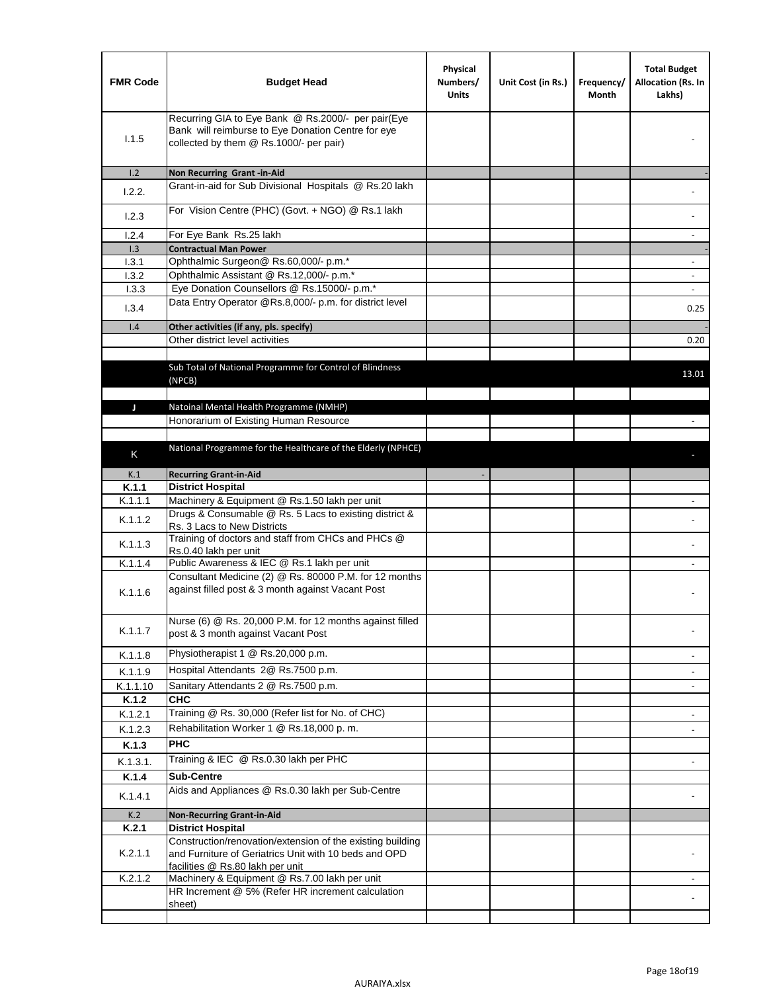| <b>FMR Code</b> | <b>Budget Head</b>                                                                                                                                      | Physical<br>Numbers/<br><b>Units</b> | Unit Cost (in Rs.) | Frequency/<br>Month | <b>Total Budget</b><br>Allocation (Rs. In<br>Lakhs) |
|-----------------|---------------------------------------------------------------------------------------------------------------------------------------------------------|--------------------------------------|--------------------|---------------------|-----------------------------------------------------|
| 1.1.5           | Recurring GIA to Eye Bank @ Rs.2000/- per pair(Eye<br>Bank will reimburse to Eye Donation Centre for eye<br>collected by them @ Rs.1000/- per pair)     |                                      |                    |                     |                                                     |
| 1.2<br>1.2.2.   | Non Recurring Grant -in-Aid<br>Grant-in-aid for Sub Divisional Hospitals @ Rs.20 lakh                                                                   |                                      |                    |                     |                                                     |
| 1.2.3           | For Vision Centre (PHC) (Govt. + NGO) @ Rs.1 lakh                                                                                                       |                                      |                    |                     |                                                     |
| 1.2.4           | For Eye Bank Rs.25 lakh                                                                                                                                 |                                      |                    |                     |                                                     |
| 1.3             | <b>Contractual Man Power</b>                                                                                                                            |                                      |                    |                     |                                                     |
| 1.3.1           | Ophthalmic Surgeon@ Rs.60,000/- p.m.*                                                                                                                   |                                      |                    |                     | $\overline{\phantom{a}}$                            |
| 1.3.2           | Ophthalmic Assistant @ Rs.12,000/- p.m.*                                                                                                                |                                      |                    |                     |                                                     |
| 1.3.3           | Eye Donation Counsellors @ Rs.15000/- p.m.*                                                                                                             |                                      |                    |                     | $\overline{\phantom{a}}$                            |
| 1.3.4           | Data Entry Operator @Rs.8,000/- p.m. for district level                                                                                                 |                                      |                    |                     | 0.25                                                |
| 1.4             | Other activities (if any, pls. specify)                                                                                                                 |                                      |                    |                     |                                                     |
|                 | Other district level activities                                                                                                                         |                                      |                    |                     | 0.20                                                |
|                 | Sub Total of National Programme for Control of Blindness<br>(NPCB)                                                                                      |                                      |                    |                     | 13.01                                               |
|                 | Natoinal Mental Health Programme (NMHP)                                                                                                                 |                                      |                    |                     |                                                     |
| J               | Honorarium of Existing Human Resource                                                                                                                   |                                      |                    |                     |                                                     |
|                 |                                                                                                                                                         |                                      |                    |                     |                                                     |
|                 | National Programme for the Healthcare of the Elderly (NPHCE)                                                                                            |                                      |                    |                     |                                                     |
| K               |                                                                                                                                                         |                                      |                    |                     |                                                     |
| K.1             | <b>Recurring Grant-in-Aid</b>                                                                                                                           |                                      |                    |                     |                                                     |
| K.1.1           | <b>District Hospital</b>                                                                                                                                |                                      |                    |                     |                                                     |
| K.1.1.1         | Machinery & Equipment @ Rs.1.50 lakh per unit                                                                                                           |                                      |                    |                     |                                                     |
| K.1.1.2         | Drugs & Consumable @ Rs. 5 Lacs to existing district &<br>Rs. 3 Lacs to New Districts                                                                   |                                      |                    |                     |                                                     |
| K.1.1.3         | Training of doctors and staff from CHCs and PHCs @<br>Rs.0.40 lakh per unit                                                                             |                                      |                    |                     |                                                     |
| K.1.1.4         | Public Awareness & IEC @ Rs.1 lakh per unit                                                                                                             |                                      |                    |                     |                                                     |
| K.1.1.6         | Consultant Medicine (2) @ Rs. 80000 P.M. for 12 months<br>against filled post & 3 month against Vacant Post                                             |                                      |                    |                     |                                                     |
| K.1.1.7         | Nurse (6) @ Rs. 20,000 P.M. for 12 months against filled<br>post & 3 month against Vacant Post                                                          |                                      |                    |                     |                                                     |
| K.1.1.8         | Physiotherapist 1 @ Rs.20,000 p.m.                                                                                                                      |                                      |                    |                     |                                                     |
| K.1.1.9         | Hospital Attendants 2@ Rs.7500 p.m.                                                                                                                     |                                      |                    |                     |                                                     |
| K.1.1.10        | Sanitary Attendants 2 @ Rs.7500 p.m.                                                                                                                    |                                      |                    |                     | $\overline{\phantom{a}}$                            |
| K.1.2           | <b>CHC</b>                                                                                                                                              |                                      |                    |                     |                                                     |
| K.1.2.1         | Training @ Rs. 30,000 (Refer list for No. of CHC)                                                                                                       |                                      |                    |                     |                                                     |
| K.1.2.3         | Rehabilitation Worker 1 @ Rs.18,000 p.m.                                                                                                                |                                      |                    |                     |                                                     |
|                 | <b>PHC</b>                                                                                                                                              |                                      |                    |                     |                                                     |
| K.1.3           |                                                                                                                                                         |                                      |                    |                     |                                                     |
| K.1.3.1.        | Training & IEC @ Rs.0.30 lakh per PHC                                                                                                                   |                                      |                    |                     |                                                     |
| K.1.4           | <b>Sub-Centre</b>                                                                                                                                       |                                      |                    |                     |                                                     |
| K.1.4.1         | Aids and Appliances @ Rs.0.30 lakh per Sub-Centre                                                                                                       |                                      |                    |                     |                                                     |
| K.2             | <b>Non-Recurring Grant-in-Aid</b>                                                                                                                       |                                      |                    |                     |                                                     |
| K.2.1           | <b>District Hospital</b>                                                                                                                                |                                      |                    |                     |                                                     |
| K.2.1.1         | Construction/renovation/extension of the existing building<br>and Furniture of Geriatrics Unit with 10 beds and OPD<br>facilities @ Rs.80 lakh per unit |                                      |                    |                     |                                                     |
| K.2.1.2         | Machinery & Equipment @ Rs.7.00 lakh per unit                                                                                                           |                                      |                    |                     |                                                     |
|                 | HR Increment @ 5% (Refer HR increment calculation                                                                                                       |                                      |                    |                     |                                                     |
|                 | sheet)                                                                                                                                                  |                                      |                    |                     |                                                     |